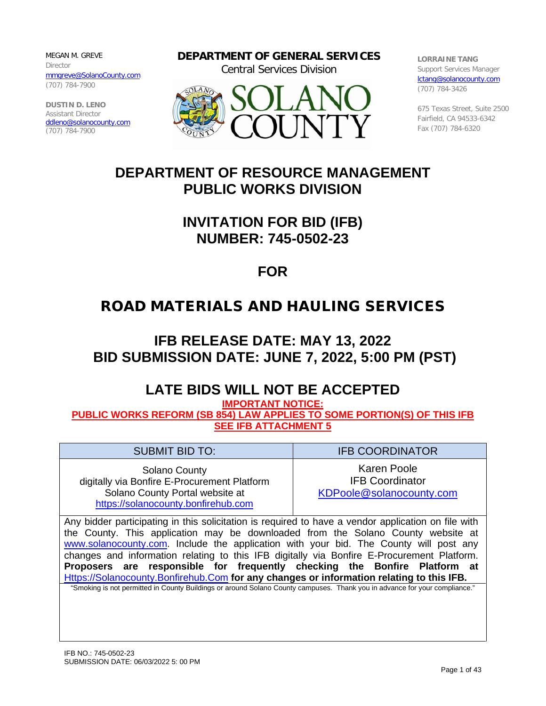MEGAN M. GREVE **Director** [mmgreve@SolanoCounty.com](mailto:mmgreve@SolanoCounty.com) (707) 784-7900

**DUSTIN D. LENO** Assistant Director [ddleno@solanocounty.com](mailto:ddleno@solanocounty.com) (707) 784-7900

**DEPARTMENT OF GENERAL SERVICES**

Central Services Division



**LORRAINE TANG** Support Services Manager [lctang@solanocounty.com](mailto:lctang@solanocounty.com) (707) 784-3426

675 Texas Street, Suite 2500 Fairfield, CA 94533-6342 Fax (707) 784-6320

# **DEPARTMENT OF RESOURCE MANAGEMENT PUBLIC WORKS DIVISION**

# **INVITATION FOR BID (IFB) NUMBER: 745-0502-23**

# **FOR**

# ROAD MATERIALS AND HAULING SERVICES

# **IFB RELEASE DATE: MAY 13, 2022 BID SUBMISSION DATE: JUNE 7, 2022, 5:00 PM (PST)**

# **LATE BIDS WILL NOT BE ACCEPTED**

**IMPORTANT NOTICE:**

**PUBLIC WORKS REFORM (SB 854) LAW APPLIES TO SOME PORTION(S) OF THIS IFB SEE IFB ATTACHMENT 5**

SUBMIT BID TO: IFB COORDINATOR

Solano County digitally via Bonfire E-Procurement Platform Solano County Portal website at [https://solanocounty.bonfirehub.com](https://solanocounty.bonfirehub.com/)

Karen Poole IFB Coordinator [KDPoole@solanocounty.com](mailto:KDPoole@solanocounty.com)

Any bidder participating in this solicitation is required to have a vendor application on file with the County. This application may be downloaded from the Solano County website at [www.solanocounty.com.](http://www.solanocounty.com/) Include the application with your bid. The County will post any changes and information relating to this IFB digitally via Bonfire E-Procurement Platform. **Proposers are responsible for frequently checking the Bonfire Platform at**  [Https://Solanocounty.Bonfirehub.Com](https://solanocounty.bonfirehub.com/) **for any changes or information relating to this IFB.**

"Smoking is not permitted in County Buildings or around Solano County campuses. Thank you in advance for your compliance."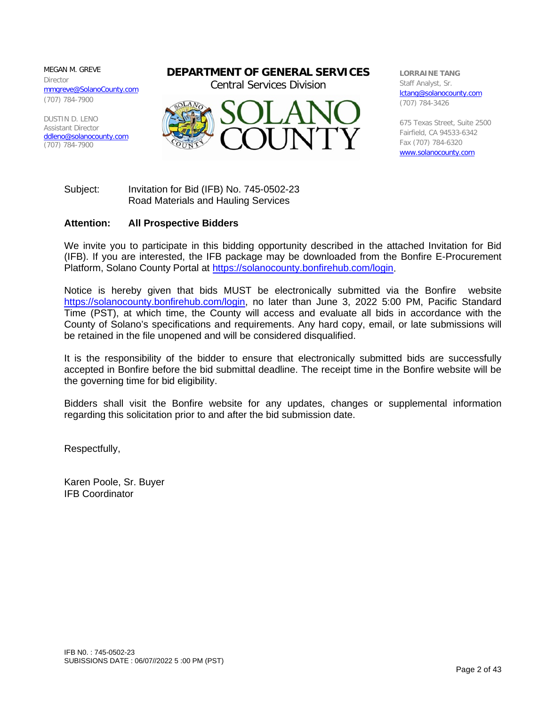MEGAN M. GREVE Director [mmgreve@SolanoCounty.com](mailto:mmgreve@SolanoCounty.com) (707) 784-7900

DUSTIN D. LENO Assistant Director [ddleno@solanocounty.com](mailto:ddleno@solanocounty.com) (707) 784-7900

## **DEPARTMENT OF GENERAL SERVICES**

Central Services Division



**LORRAINE TANG** Staff Analyst, Sr. [lctang@solanocounty.com](mailto:lctang@solanocounty.com) (707) 784-3426

675 Texas Street, Suite 2500 Fairfield, CA 94533-6342 Fax (707) 784-6320 [www.solanocounty.com](http://www.solanocounty.com/)

Subject: Invitation for Bid (IFB) No. 745-0502-23 Road Materials and Hauling Services

## **Attention: All Prospective Bidders**

We invite you to participate in this bidding opportunity described in the attached Invitation for Bid (IFB). If you are interested, the IFB package may be downloaded from the Bonfire E-Procurement Platform, Solano County Portal at [https://solanocounty.bonfirehub.com/login.](https://solanocounty.bonfirehub.com/login)

Notice is hereby given that bids MUST be electronically submitted via the Bonfire website [https://solanocounty.bonfirehub.com/login,](https://solanocounty.bonfirehub.com/login) no later than June 3, 2022 5:00 PM, Pacific Standard Time (PST), at which time, the County will access and evaluate all bids in accordance with the County of Solano's specifications and requirements. Any hard copy, email, or late submissions will be retained in the file unopened and will be considered disqualified.

It is the responsibility of the bidder to ensure that electronically submitted bids are successfully accepted in Bonfire before the bid submittal deadline. The receipt time in the Bonfire website will be the governing time for bid eligibility.

Bidders shall visit the Bonfire website for any updates, changes or supplemental information regarding this solicitation prior to and after the bid submission date.

Respectfully,

Karen Poole, Sr. Buyer IFB Coordinator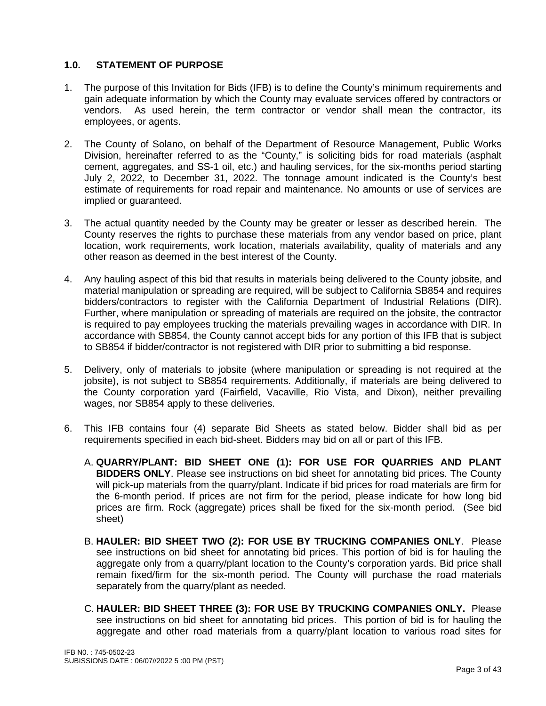## **1.0. STATEMENT OF PURPOSE**

- 1. The purpose of this Invitation for Bids (IFB) is to define the County's minimum requirements and gain adequate information by which the County may evaluate services offered by contractors or vendors. As used herein, the term contractor or vendor shall mean the contractor, its employees, or agents.
- 2. The County of Solano, on behalf of the Department of Resource Management, Public Works Division, hereinafter referred to as the "County," is soliciting bids for road materials (asphalt cement, aggregates, and SS-1 oil, etc.) and hauling services, for the six-months period starting July 2, 2022, to December 31, 2022. The tonnage amount indicated is the County's best estimate of requirements for road repair and maintenance. No amounts or use of services are implied or guaranteed.
- 3. The actual quantity needed by the County may be greater or lesser as described herein. The County reserves the rights to purchase these materials from any vendor based on price, plant location, work requirements, work location, materials availability, quality of materials and any other reason as deemed in the best interest of the County.
- 4. Any hauling aspect of this bid that results in materials being delivered to the County jobsite, and material manipulation or spreading are required, will be subject to California SB854 and requires bidders/contractors to register with the California Department of Industrial Relations (DIR). Further, where manipulation or spreading of materials are required on the jobsite, the contractor is required to pay employees trucking the materials prevailing wages in accordance with DIR. In accordance with SB854, the County cannot accept bids for any portion of this IFB that is subject to SB854 if bidder/contractor is not registered with DIR prior to submitting a bid response.
- 5. Delivery, only of materials to jobsite (where manipulation or spreading is not required at the jobsite), is not subject to SB854 requirements. Additionally, if materials are being delivered to the County corporation yard (Fairfield, Vacaville, Rio Vista, and Dixon), neither prevailing wages, nor SB854 apply to these deliveries.
- 6. This IFB contains four (4) separate Bid Sheets as stated below. Bidder shall bid as per requirements specified in each bid-sheet. Bidders may bid on all or part of this IFB.
	- A. **QUARRY/PLANT: BID SHEET ONE (1): FOR USE FOR QUARRIES AND PLANT BIDDERS ONLY**. Please see instructions on bid sheet for annotating bid prices. The County will pick-up materials from the quarry/plant. Indicate if bid prices for road materials are firm for the 6-month period. If prices are not firm for the period, please indicate for how long bid prices are firm. Rock (aggregate) prices shall be fixed for the six-month period. (See bid sheet)
	- B. **HAULER: BID SHEET TWO (2): FOR USE BY TRUCKING COMPANIES ONLY**. Please see instructions on bid sheet for annotating bid prices. This portion of bid is for hauling the aggregate only from a quarry/plant location to the County's corporation yards. Bid price shall remain fixed/firm for the six-month period. The County will purchase the road materials separately from the quarry/plant as needed.
	- C. **HAULER: BID SHEET THREE (3): FOR USE BY TRUCKING COMPANIES ONLY.** Please see instructions on bid sheet for annotating bid prices. This portion of bid is for hauling the aggregate and other road materials from a quarry/plant location to various road sites for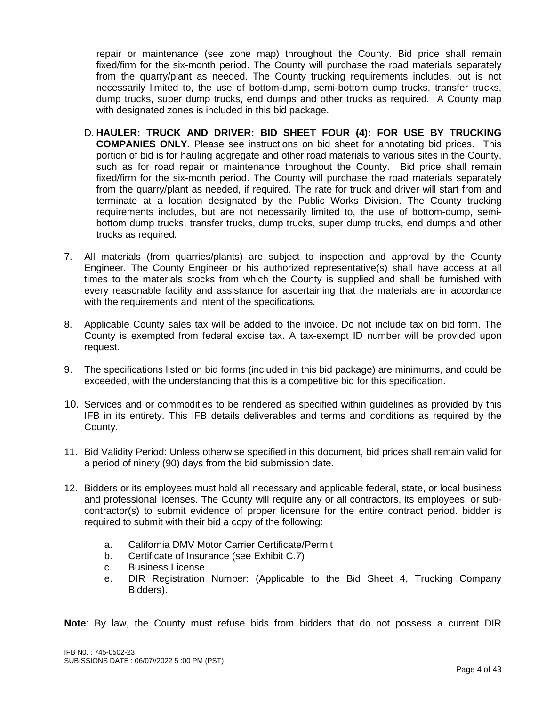repair or maintenance (see zone map) throughout the County. Bid price shall remain fixed/firm for the six-month period. The County will purchase the road materials separately from the quarry/plant as needed. The County trucking requirements includes, but is not necessarily limited to, the use of bottom-dump, semi-bottom dump trucks, transfer trucks, dump trucks, super dump trucks, end dumps and other trucks as required. A County map with designated zones is included in this bid package.

- D. **HAULER: TRUCK AND DRIVER: BID SHEET FOUR (4): FOR USE BY TRUCKING COMPANIES ONLY.** Please see instructions on bid sheet for annotating bid prices. This portion of bid is for hauling aggregate and other road materials to various sites in the County, such as for road repair or maintenance throughout the County. Bid price shall remain fixed/firm for the six-month period. The County will purchase the road materials separately from the quarry/plant as needed, if required. The rate for truck and driver will start from and terminate at a location designated by the Public Works Division. The County trucking requirements includes, but are not necessarily limited to, the use of bottom-dump, semibottom dump trucks, transfer trucks, dump trucks, super dump trucks, end dumps and other trucks as required.
- 7. All materials (from quarries/plants) are subject to inspection and approval by the County Engineer. The County Engineer or his authorized representative(s) shall have access at all times to the materials stocks from which the County is supplied and shall be furnished with every reasonable facility and assistance for ascertaining that the materials are in accordance with the requirements and intent of the specifications.
- 8. Applicable County sales tax will be added to the invoice. Do not include tax on bid form. The County is exempted from federal excise tax. A tax-exempt ID number will be provided upon request.
- 9. The specifications listed on bid forms (included in this bid package) are minimums, and could be exceeded, with the understanding that this is a competitive bid for this specification.
- 10. Services and or commodities to be rendered as specified within guidelines as provided by this IFB in its entirety. This IFB details deliverables and terms and conditions as required by the County.
- 11. Bid Validity Period: Unless otherwise specified in this document, bid prices shall remain valid for a period of ninety (90) days from the bid submission date.
- 12. Bidders or its employees must hold all necessary and applicable federal, state, or local business and professional licenses. The County will require any or all contractors, its employees, or subcontractor(s) to submit evidence of proper licensure for the entire contract period. bidder is required to submit with their bid a copy of the following:
	- a. California DMV Motor Carrier Certificate/Permit
	- b. Certificate of Insurance (see Exhibit C.7)
	- c. Business License
	- e. DIR Registration Number: (Applicable to the Bid Sheet 4, Trucking Company Bidders).

**Note**: By law, the County must refuse bids from bidders that do not possess a current DIR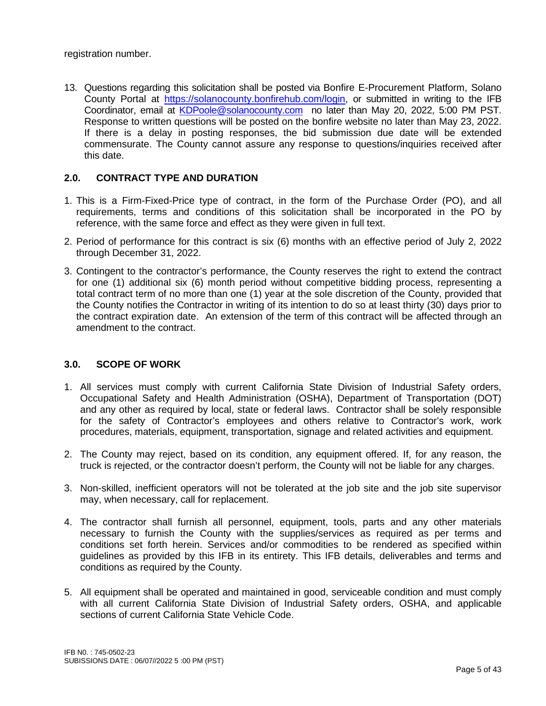registration number.

13. Questions regarding this solicitation shall be posted via Bonfire E-Procurement Platform, Solano County Portal at [https://solanocounty.bonfirehub.com/login,](https://solanocounty.bonfirehub.com/login) or submitted in writing to the IFB Coordinator, email at [KDPoole@solanocounty.com](mailto:KDPoole@solanocounty.com) no later than May 20, 2022, 5:00 PM PST. Response to written questions will be posted on the bonfire website no later than May 23, 2022. If there is a delay in posting responses, the bid submission due date will be extended commensurate. The County cannot assure any response to questions/inquiries received after this date.

## **2.0. CONTRACT TYPE AND DURATION**

- 1. This is a Firm-Fixed-Price type of contract, in the form of the Purchase Order (PO), and all requirements, terms and conditions of this solicitation shall be incorporated in the PO by reference, with the same force and effect as they were given in full text.
- 2. Period of performance for this contract is six (6) months with an effective period of July 2, 2022 through December 31, 2022.
- 3. Contingent to the contractor's performance, the County reserves the right to extend the contract for one (1) additional six (6) month period without competitive bidding process, representing a total contract term of no more than one (1) year at the sole discretion of the County, provided that the County notifies the Contractor in writing of its intention to do so at least thirty (30) days prior to the contract expiration date. An extension of the term of this contract will be affected through an amendment to the contract.

## **3.0. SCOPE OF WORK**

- 1. All services must comply with current California State Division of Industrial Safety orders, Occupational Safety and Health Administration (OSHA), Department of Transportation (DOT) and any other as required by local, state or federal laws. Contractor shall be solely responsible for the safety of Contractor's employees and others relative to Contractor's work, work procedures, materials, equipment, transportation, signage and related activities and equipment.
- 2. The County may reject, based on its condition, any equipment offered. If, for any reason, the truck is rejected, or the contractor doesn't perform, the County will not be liable for any charges.
- 3. Non-skilled, inefficient operators will not be tolerated at the job site and the job site supervisor may, when necessary, call for replacement.
- 4. The contractor shall furnish all personnel, equipment, tools, parts and any other materials necessary to furnish the County with the supplies/services as required as per terms and conditions set forth herein. Services and/or commodities to be rendered as specified within guidelines as provided by this IFB in its entirety. This IFB details, deliverables and terms and conditions as required by the County.
- 5. All equipment shall be operated and maintained in good, serviceable condition and must comply with all current California State Division of Industrial Safety orders, OSHA, and applicable sections of current California State Vehicle Code.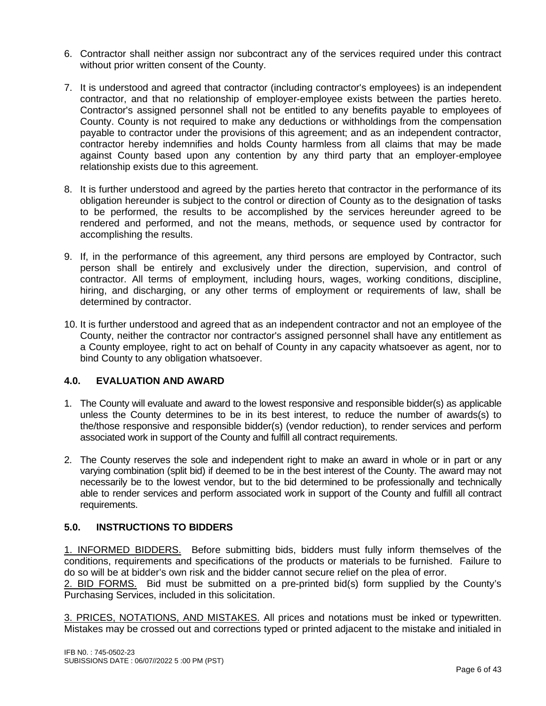- 6. Contractor shall neither assign nor subcontract any of the services required under this contract without prior written consent of the County.
- 7. It is understood and agreed that contractor (including contractor's employees) is an independent contractor, and that no relationship of employer-employee exists between the parties hereto. Contractor's assigned personnel shall not be entitled to any benefits payable to employees of County. County is not required to make any deductions or withholdings from the compensation payable to contractor under the provisions of this agreement; and as an independent contractor, contractor hereby indemnifies and holds County harmless from all claims that may be made against County based upon any contention by any third party that an employer-employee relationship exists due to this agreement.
- 8. It is further understood and agreed by the parties hereto that contractor in the performance of its obligation hereunder is subject to the control or direction of County as to the designation of tasks to be performed, the results to be accomplished by the services hereunder agreed to be rendered and performed, and not the means, methods, or sequence used by contractor for accomplishing the results.
- 9. If, in the performance of this agreement, any third persons are employed by Contractor, such person shall be entirely and exclusively under the direction, supervision, and control of contractor. All terms of employment, including hours, wages, working conditions, discipline, hiring, and discharging, or any other terms of employment or requirements of law, shall be determined by contractor.
- 10. It is further understood and agreed that as an independent contractor and not an employee of the County, neither the contractor nor contractor's assigned personnel shall have any entitlement as a County employee, right to act on behalf of County in any capacity whatsoever as agent, nor to bind County to any obligation whatsoever.

## **4.0. EVALUATION AND AWARD**

- 1. The County will evaluate and award to the lowest responsive and responsible bidder(s) as applicable unless the County determines to be in its best interest, to reduce the number of awards(s) to the/those responsive and responsible bidder(s) (vendor reduction), to render services and perform associated work in support of the County and fulfill all contract requirements.
- 2. The County reserves the sole and independent right to make an award in whole or in part or any varying combination (split bid) if deemed to be in the best interest of the County. The award may not necessarily be to the lowest vendor, but to the bid determined to be professionally and technically able to render services and perform associated work in support of the County and fulfill all contract requirements.

## **5.0. INSTRUCTIONS TO BIDDERS**

1. INFORMED BIDDERS. Before submitting bids, bidders must fully inform themselves of the conditions, requirements and specifications of the products or materials to be furnished. Failure to do so will be at bidder's own risk and the bidder cannot secure relief on the plea of error. 2. BID FORMS. Bid must be submitted on a pre-printed bid(s) form supplied by the County's Purchasing Services, included in this solicitation.

3. PRICES, NOTATIONS, AND MISTAKES. All prices and notations must be inked or typewritten. Mistakes may be crossed out and corrections typed or printed adjacent to the mistake and initialed in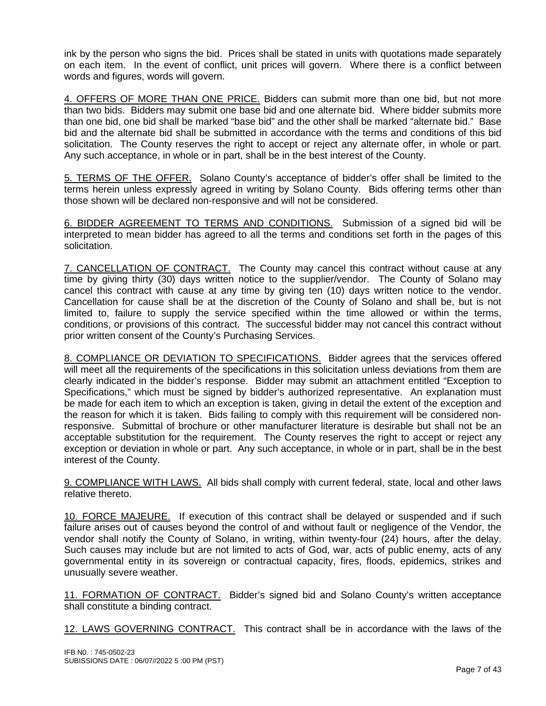ink by the person who signs the bid. Prices shall be stated in units with quotations made separately on each item. In the event of conflict, unit prices will govern. Where there is a conflict between words and figures, words will govern.

4. OFFERS OF MORE THAN ONE PRICE. Bidders can submit more than one bid, but not more than two bids. Bidders may submit one base bid and one alternate bid. Where bidder submits more than one bid, one bid shall be marked "base bid" and the other shall be marked "alternate bid." Base bid and the alternate bid shall be submitted in accordance with the terms and conditions of this bid solicitation. The County reserves the right to accept or reject any alternate offer, in whole or part. Any such acceptance, in whole or in part, shall be in the best interest of the County.

5. TERMS OF THE OFFER. Solano County's acceptance of bidder's offer shall be limited to the terms herein unless expressly agreed in writing by Solano County. Bids offering terms other than those shown will be declared non-responsive and will not be considered.

6. BIDDER AGREEMENT TO TERMS AND CONDITIONS. Submission of a signed bid will be interpreted to mean bidder has agreed to all the terms and conditions set forth in the pages of this solicitation.

7. CANCELLATION OF CONTRACT. The County may cancel this contract without cause at any time by giving thirty (30) days written notice to the supplier/vendor. The County of Solano may cancel this contract with cause at any time by giving ten (10) days written notice to the vendor. Cancellation for cause shall be at the discretion of the County of Solano and shall be, but is not limited to, failure to supply the service specified within the time allowed or within the terms, conditions, or provisions of this contract. The successful bidder may not cancel this contract without prior written consent of the County's Purchasing Services.

8. COMPLIANCE OR DEVIATION TO SPECIFICATIONS. Bidder agrees that the services offered will meet all the requirements of the specifications in this solicitation unless deviations from them are clearly indicated in the bidder's response. Bidder may submit an attachment entitled "Exception to Specifications," which must be signed by bidder's authorized representative. An explanation must be made for each item to which an exception is taken, giving in detail the extent of the exception and the reason for which it is taken. Bids failing to comply with this requirement will be considered nonresponsive. Submittal of brochure or other manufacturer literature is desirable but shall not be an acceptable substitution for the requirement. The County reserves the right to accept or reject any exception or deviation in whole or part. Any such acceptance, in whole or in part, shall be in the best interest of the County.

9. COMPLIANCE WITH LAWS. All bids shall comply with current federal, state, local and other laws relative thereto.

10. FORCE MAJEURE. If execution of this contract shall be delayed or suspended and if such failure arises out of causes beyond the control of and without fault or negligence of the Vendor, the vendor shall notify the County of Solano, in writing, within twenty-four (24) hours, after the delay. Such causes may include but are not limited to acts of God, war, acts of public enemy, acts of any governmental entity in its sovereign or contractual capacity, fires, floods, epidemics, strikes and unusually severe weather.

11. FORMATION OF CONTRACT. Bidder's signed bid and Solano County's written acceptance shall constitute a binding contract.

12. LAWS GOVERNING CONTRACT. This contract shall be in accordance with the laws of the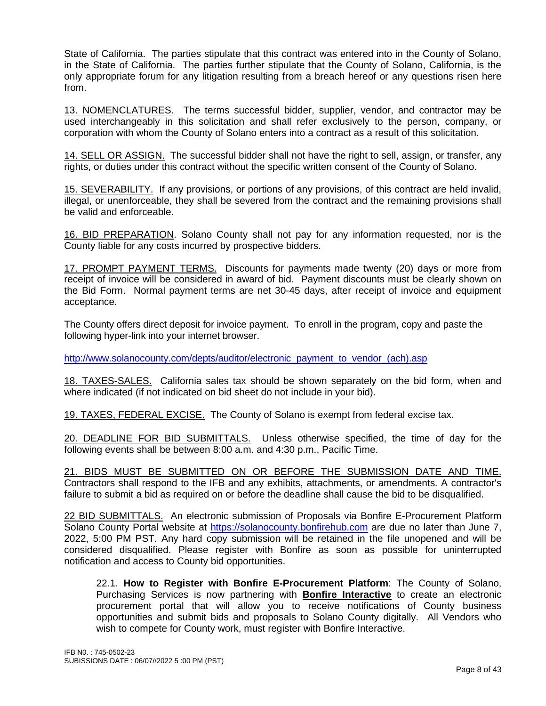State of California. The parties stipulate that this contract was entered into in the County of Solano, in the State of California. The parties further stipulate that the County of Solano, California, is the only appropriate forum for any litigation resulting from a breach hereof or any questions risen here from.

13. NOMENCLATURES. The terms successful bidder, supplier, vendor, and contractor may be used interchangeably in this solicitation and shall refer exclusively to the person, company, or corporation with whom the County of Solano enters into a contract as a result of this solicitation.

14. SELL OR ASSIGN. The successful bidder shall not have the right to sell, assign, or transfer, any rights, or duties under this contract without the specific written consent of the County of Solano.

15. SEVERABILITY. If any provisions, or portions of any provisions, of this contract are held invalid, illegal, or unenforceable, they shall be severed from the contract and the remaining provisions shall be valid and enforceable.

16. BID PREPARATION. Solano County shall not pay for any information requested, nor is the County liable for any costs incurred by prospective bidders.

17. PROMPT PAYMENT TERMS. Discounts for payments made twenty (20) days or more from receipt of invoice will be considered in award of bid. Payment discounts must be clearly shown on the Bid Form. Normal payment terms are net 30-45 days, after receipt of invoice and equipment acceptance.

The County offers direct deposit for invoice payment. To enroll in the program, copy and paste the following hyper-link into your internet browser.

[http://www.solanocounty.com/depts/auditor/electronic\\_payment\\_to\\_vendor\\_\(ach\).asp](http://www.solanocounty.com/depts/auditor/electronic_payment_to_vendor_(ach).asp)

18. TAXES-SALES. California sales tax should be shown separately on the bid form, when and where indicated (if not indicated on bid sheet do not include in your bid).

19. TAXES, FEDERAL EXCISE. The County of Solano is exempt from federal excise tax.

20. DEADLINE FOR BID SUBMITTALS. Unless otherwise specified, the time of day for the following events shall be between 8:00 a.m. and 4:30 p.m., Pacific Time.

21. BIDS MUST BE SUBMITTED ON OR BEFORE THE SUBMISSION DATE AND TIME. Contractors shall respond to the IFB and any exhibits, attachments, or amendments. A contractor's failure to submit a bid as required on or before the deadline shall cause the bid to be disqualified.

22 BID SUBMITTALS. An electronic submission of Proposals via Bonfire E-Procurement Platform Solano County Portal website at [https://solanocounty.bonfirehub.com](https://solanocounty.bonfirehub.com/) are due no later than June 7, 2022, 5:00 PM PST. Any hard copy submission will be retained in the file unopened and will be considered disqualified. Please register with Bonfire as soon as possible for uninterrupted notification and access to County bid opportunities.

22.1. **How to Register with Bonfire E-Procurement Platform**: The County of Solano, Purchasing Services is now partnering with **Bonfire Interactive** to create an electronic procurement portal that will allow you to receive notifications of County business opportunities and submit bids and proposals to Solano County digitally. All Vendors who wish to compete for County work, must register with Bonfire Interactive.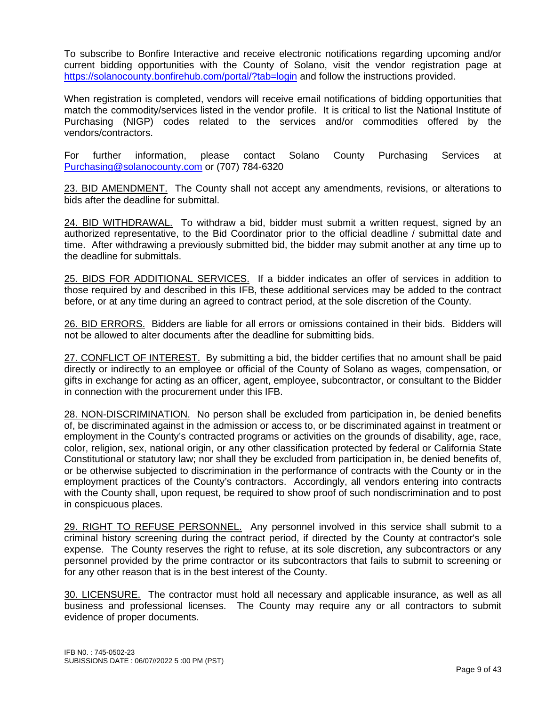To subscribe to Bonfire Interactive and receive electronic notifications regarding upcoming and/or current bidding opportunities with the County of Solano, visit the vendor registration page at <https://solanocounty.bonfirehub.com/portal/?tab=login> and follow the instructions provided.

When registration is completed, vendors will receive email notifications of bidding opportunities that match the commodity/services listed in the vendor profile. It is critical to list the National Institute of Purchasing (NIGP) codes related to the services and/or commodities offered by the vendors/contractors.

For further information, please contact Solano County Purchasing Services at [Purchasing@solanocounty.com](mailto:Purchasing@solanocounty.com) or (707) 784-6320

23. BID AMENDMENT. The County shall not accept any amendments, revisions, or alterations to bids after the deadline for submittal.

24. BID WITHDRAWAL. To withdraw a bid, bidder must submit a written request, signed by an authorized representative, to the Bid Coordinator prior to the official deadline / submittal date and time. After withdrawing a previously submitted bid, the bidder may submit another at any time up to the deadline for submittals.

25. BIDS FOR ADDITIONAL SERVICES. If a bidder indicates an offer of services in addition to those required by and described in this IFB, these additional services may be added to the contract before, or at any time during an agreed to contract period, at the sole discretion of the County.

26. BID ERRORS. Bidders are liable for all errors or omissions contained in their bids. Bidders will not be allowed to alter documents after the deadline for submitting bids.

27. CONFLICT OF INTEREST. By submitting a bid, the bidder certifies that no amount shall be paid directly or indirectly to an employee or official of the County of Solano as wages, compensation, or gifts in exchange for acting as an officer, agent, employee, subcontractor, or consultant to the Bidder in connection with the procurement under this IFB.

28. NON-DISCRIMINATION. No person shall be excluded from participation in, be denied benefits of, be discriminated against in the admission or access to, or be discriminated against in treatment or employment in the County's contracted programs or activities on the grounds of disability, age, race, color, religion, sex, national origin, or any other classification protected by federal or California State Constitutional or statutory law; nor shall they be excluded from participation in, be denied benefits of, or be otherwise subjected to discrimination in the performance of contracts with the County or in the employment practices of the County's contractors. Accordingly, all vendors entering into contracts with the County shall, upon request, be required to show proof of such nondiscrimination and to post in conspicuous places.

29. RIGHT TO REFUSE PERSONNEL. Any personnel involved in this service shall submit to a criminal history screening during the contract period, if directed by the County at contractor's sole expense. The County reserves the right to refuse, at its sole discretion, any subcontractors or any personnel provided by the prime contractor or its subcontractors that fails to submit to screening or for any other reason that is in the best interest of the County.

30. LICENSURE. The contractor must hold all necessary and applicable insurance, as well as all business and professional licenses. The County may require any or all contractors to submit evidence of proper documents.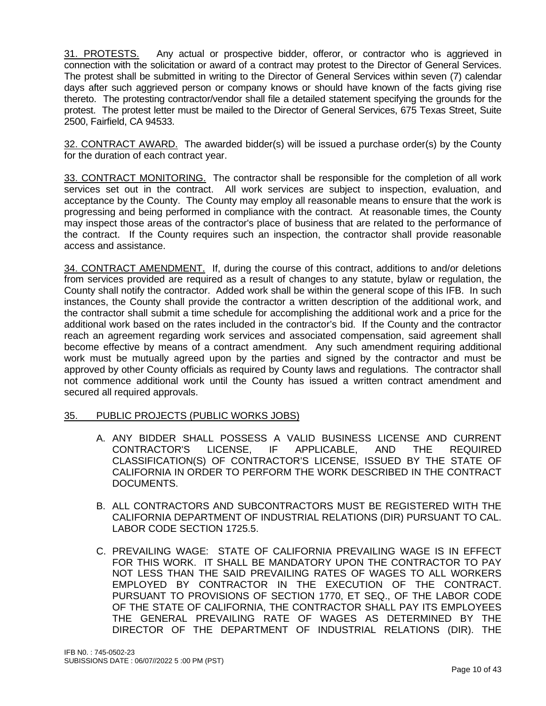31. PROTESTS. Any actual or prospective bidder, offeror, or contractor who is aggrieved in connection with the solicitation or award of a contract may protest to the Director of General Services. The protest shall be submitted in writing to the Director of General Services within seven (7) calendar days after such aggrieved person or company knows or should have known of the facts giving rise thereto. The protesting contractor/vendor shall file a detailed statement specifying the grounds for the protest. The protest letter must be mailed to the Director of General Services, 675 Texas Street, Suite 2500, Fairfield, CA 94533.

32. CONTRACT AWARD. The awarded bidder(s) will be issued a purchase order(s) by the County for the duration of each contract year.

33. CONTRACT MONITORING. The contractor shall be responsible for the completion of all work services set out in the contract. All work services are subject to inspection, evaluation, and acceptance by the County. The County may employ all reasonable means to ensure that the work is progressing and being performed in compliance with the contract. At reasonable times, the County may inspect those areas of the contractor's place of business that are related to the performance of the contract. If the County requires such an inspection, the contractor shall provide reasonable access and assistance.

34. CONTRACT AMENDMENT. If, during the course of this contract, additions to and/or deletions from services provided are required as a result of changes to any statute, bylaw or regulation, the County shall notify the contractor. Added work shall be within the general scope of this IFB. In such instances, the County shall provide the contractor a written description of the additional work, and the contractor shall submit a time schedule for accomplishing the additional work and a price for the additional work based on the rates included in the contractor's bid. If the County and the contractor reach an agreement regarding work services and associated compensation, said agreement shall become effective by means of a contract amendment. Any such amendment requiring additional work must be mutually agreed upon by the parties and signed by the contractor and must be approved by other County officials as required by County laws and regulations. The contractor shall not commence additional work until the County has issued a written contract amendment and secured all required approvals.

## 35. PUBLIC PROJECTS (PUBLIC WORKS JOBS)

- A. ANY BIDDER SHALL POSSESS A VALID BUSINESS LICENSE AND CURRENT CONTRACTOR'S LICENSE, IF APPLICABLE, AND THE REQUIRED CLASSIFICATION(S) OF CONTRACTOR'S LICENSE, ISSUED BY THE STATE OF CALIFORNIA IN ORDER TO PERFORM THE WORK DESCRIBED IN THE CONTRACT DOCUMENTS.
- B. ALL CONTRACTORS AND SUBCONTRACTORS MUST BE REGISTERED WITH THE CALIFORNIA DEPARTMENT OF INDUSTRIAL RELATIONS (DIR) PURSUANT TO CAL. LABOR CODE SECTION 1725.5.
- C. PREVAILING WAGE: STATE OF CALIFORNIA PREVAILING WAGE IS IN EFFECT FOR THIS WORK. IT SHALL BE MANDATORY UPON THE CONTRACTOR TO PAY NOT LESS THAN THE SAID PREVAILING RATES OF WAGES TO ALL WORKERS EMPLOYED BY CONTRACTOR IN THE EXECUTION OF THE CONTRACT. PURSUANT TO PROVISIONS OF SECTION 1770, ET SEQ., OF THE LABOR CODE OF THE STATE OF CALIFORNIA, THE CONTRACTOR SHALL PAY ITS EMPLOYEES THE GENERAL PREVAILING RATE OF WAGES AS DETERMINED BY THE DIRECTOR OF THE DEPARTMENT OF INDUSTRIAL RELATIONS (DIR). THE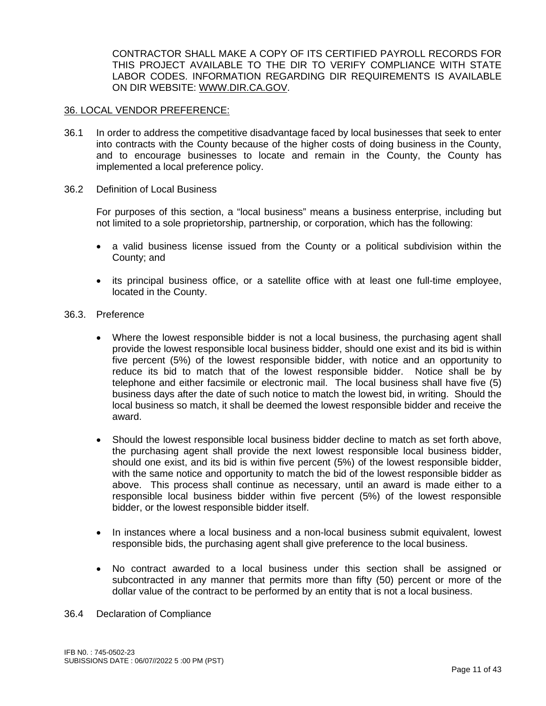CONTRACTOR SHALL MAKE A COPY OF ITS CERTIFIED PAYROLL RECORDS FOR THIS PROJECT AVAILABLE TO THE DIR TO VERIFY COMPLIANCE WITH STATE LABOR CODES. INFORMATION REGARDING DIR REQUIREMENTS IS AVAILABLE ON DIR WEBSITE: [WWW.DIR.CA.GOV.](http://www.dir.ca.gov/)

#### 36. LOCAL VENDOR PREFERENCE:

- 36.1 In order to address the competitive disadvantage faced by local businesses that seek to enter into contracts with the County because of the higher costs of doing business in the County, and to encourage businesses to locate and remain in the County, the County has implemented a local preference policy.
- 36.2 Definition of Local Business

For purposes of this section, a "local business" means a business enterprise, including but not limited to a sole proprietorship, partnership, or corporation, which has the following:

- a valid business license issued from the County or a political subdivision within the County; and
- its principal business office, or a satellite office with at least one full-time employee, located in the County.
- 36.3. Preference
	- Where the lowest responsible bidder is not a local business, the purchasing agent shall provide the lowest responsible local business bidder, should one exist and its bid is within five percent (5%) of the lowest responsible bidder, with notice and an opportunity to reduce its bid to match that of the lowest responsible bidder. Notice shall be by telephone and either facsimile or electronic mail. The local business shall have five (5) business days after the date of such notice to match the lowest bid, in writing. Should the local business so match, it shall be deemed the lowest responsible bidder and receive the award.
	- Should the lowest responsible local business bidder decline to match as set forth above, the purchasing agent shall provide the next lowest responsible local business bidder, should one exist, and its bid is within five percent (5%) of the lowest responsible bidder, with the same notice and opportunity to match the bid of the lowest responsible bidder as above. This process shall continue as necessary, until an award is made either to a responsible local business bidder within five percent (5%) of the lowest responsible bidder, or the lowest responsible bidder itself.
	- In instances where a local business and a non-local business submit equivalent, lowest responsible bids, the purchasing agent shall give preference to the local business.
	- No contract awarded to a local business under this section shall be assigned or subcontracted in any manner that permits more than fifty (50) percent or more of the dollar value of the contract to be performed by an entity that is not a local business.

#### 36.4 Declaration of Compliance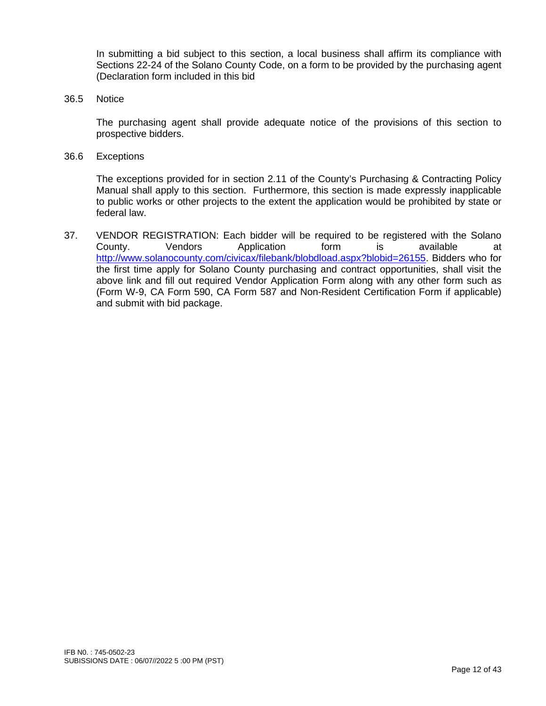In submitting a bid subject to this section, a local business shall affirm its compliance with Sections 22-24 of the Solano County Code, on a form to be provided by the purchasing agent (Declaration form included in this bid

#### 36.5 Notice

The purchasing agent shall provide adequate notice of the provisions of this section to prospective bidders.

36.6 Exceptions

The exceptions provided for in section 2.11 of the County's Purchasing & Contracting Policy Manual shall apply to this section. Furthermore, this section is made expressly inapplicable to public works or other projects to the extent the application would be prohibited by state or federal law.

37. VENDOR REGISTRATION: Each bidder will be required to be registered with the Solano County. Vendors Application form is available at [http://www.solanocounty.com/civicax/filebank/blobdload.aspx?blobid=26155.](http://www.solanocounty.com/civicax/filebank/blobdload.aspx?blobid=26155) Bidders who for the first time apply for Solano County purchasing and contract opportunities, shall visit the above link and fill out required Vendor Application Form along with any other form such as (Form W-9, CA Form 590, CA Form 587 and Non-Resident Certification Form if applicable) and submit with bid package.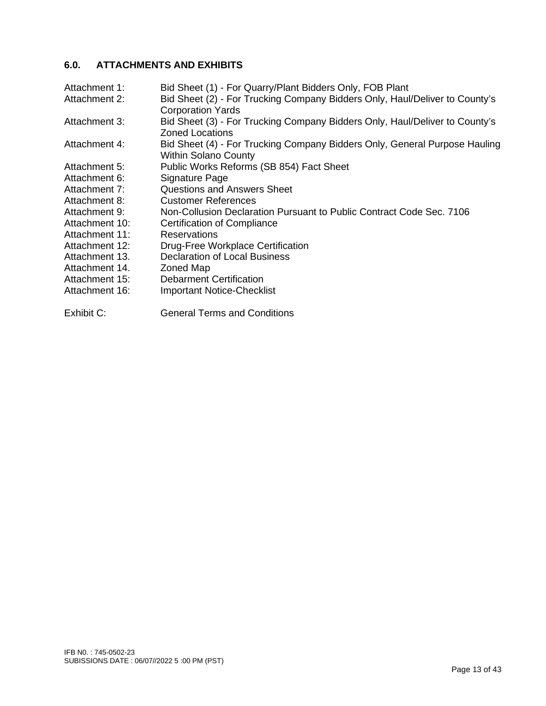# **6.0. ATTACHMENTS AND EXHIBITS**

| Attachment 1:  | Bid Sheet (1) - For Quarry/Plant Bidders Only, FOB Plant                    |
|----------------|-----------------------------------------------------------------------------|
| Attachment 2:  | Bid Sheet (2) - For Trucking Company Bidders Only, Haul/Deliver to County's |
|                | <b>Corporation Yards</b>                                                    |
| Attachment 3:  | Bid Sheet (3) - For Trucking Company Bidders Only, Haul/Deliver to County's |
|                | <b>Zoned Locations</b>                                                      |
| Attachment 4:  | Bid Sheet (4) - For Trucking Company Bidders Only, General Purpose Hauling  |
|                | <b>Within Solano County</b>                                                 |
| Attachment 5:  | Public Works Reforms (SB 854) Fact Sheet                                    |
| Attachment 6:  | Signature Page                                                              |
| Attachment 7:  | <b>Questions and Answers Sheet</b>                                          |
| Attachment 8:  | <b>Customer References</b>                                                  |
| Attachment 9:  | Non-Collusion Declaration Pursuant to Public Contract Code Sec. 7106        |
| Attachment 10: | Certification of Compliance                                                 |
| Attachment 11: | <b>Reservations</b>                                                         |
| Attachment 12: | Drug-Free Workplace Certification                                           |
| Attachment 13. | <b>Declaration of Local Business</b>                                        |
| Attachment 14. | Zoned Map                                                                   |
| Attachment 15: | <b>Debarment Certification</b>                                              |
| Attachment 16: | <b>Important Notice-Checklist</b>                                           |
| Exhibit C:     | <b>General Terms and Conditions</b>                                         |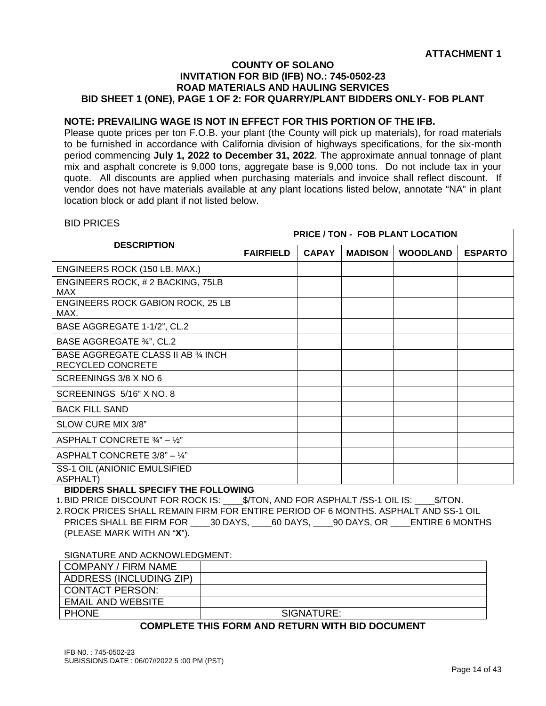#### **COUNTY OF SOLANO INVITATION FOR BID (IFB) NO.: 745-0502-23 ROAD MATERIALS AND HAULING SERVICES BID SHEET 1 (ONE), PAGE 1 OF 2: FOR QUARRY/PLANT BIDDERS ONLY- FOB PLANT**

#### **NOTE: PREVAILING WAGE IS NOT IN EFFECT FOR THIS PORTION OF THE IFB.**

Please quote prices per ton F.O.B. your plant (the County will pick up materials), for road materials to be furnished in accordance with California division of highways specifications, for the six-month period commencing **July 1, 2022 to December 31, 2022**. The approximate annual tonnage of plant mix and asphalt concrete is 9,000 tons, aggregate base is 9,000 tons. Do not include tax in your quote. All discounts are applied when purchasing materials and invoice shall reflect discount. If vendor does not have materials available at any plant locations listed below, annotate "NA" in plant location block or add plant if not listed below.

#### BID PRICES

|                                                         | PRICE / TON - FOB PLANT LOCATION |              |                |                 |                |  |
|---------------------------------------------------------|----------------------------------|--------------|----------------|-----------------|----------------|--|
| <b>DESCRIPTION</b>                                      | <b>FAIRFIELD</b>                 | <b>CAPAY</b> | <b>MADISON</b> | <b>WOODLAND</b> | <b>ESPARTO</b> |  |
| ENGINEERS ROCK (150 LB. MAX.)                           |                                  |              |                |                 |                |  |
| ENGINEERS ROCK, #2 BACKING, 75LB<br><b>MAX</b>          |                                  |              |                |                 |                |  |
| <b>ENGINEERS ROCK GABION ROCK, 25 LB</b><br>MAX.        |                                  |              |                |                 |                |  |
| BASE AGGREGATE 1-1/2", CL.2                             |                                  |              |                |                 |                |  |
| BASE AGGREGATE 3/4", CL.2                               |                                  |              |                |                 |                |  |
| BASE AGGREGATE CLASS II AB 34 INCH<br>RECYCLED CONCRETE |                                  |              |                |                 |                |  |
| SCREENINGS 3/8 X NO 6                                   |                                  |              |                |                 |                |  |
| SCREENINGS 5/16" X NO. 8                                |                                  |              |                |                 |                |  |
| <b>BACK FILL SAND</b>                                   |                                  |              |                |                 |                |  |
| SLOW CURE MIX 3/8"                                      |                                  |              |                |                 |                |  |
| ASPHALT CONCRETE $\frac{3}{4}$ " – 1/2"                 |                                  |              |                |                 |                |  |
| ASPHALT CONCRETE 3/8" - 1/4"                            |                                  |              |                |                 |                |  |
| SS-1 OIL (ANIONIC EMULSIFIED<br><b>ASPHALT)</b>         |                                  |              |                |                 |                |  |

#### **BIDDERS SHALL SPECIFY THE FOLLOWING**

1.BID PRICE DISCOUNT FOR ROCK IS: \_\_\_\_\$/TON, AND FOR ASPHALT /SS-1 OIL IS: \_\_\_\_\$/TON.

2. ROCK PRICES SHALL REMAIN FIRM FOR ENTIRE PERIOD OF 6 MONTHS. ASPHALT AND SS-1 OIL PRICES SHALL BE FIRM FOR \_\_\_\_30 DAYS, \_\_\_\_60 DAYS, \_\_\_\_90 DAYS, OR \_\_\_\_ENTIRE 6 MONTHS (PLEASE MARK WITH AN "**X**").

#### SIGNATURE AND ACKNOWLEDGMENT:

| COMPANY / FIRM NAME      |            |  |
|--------------------------|------------|--|
| ADDRESS (INCLUDING ZIP)  |            |  |
| <b>CONTACT PERSON:</b>   |            |  |
| <b>EMAIL AND WEBSITE</b> |            |  |
| <b>PHONE</b>             | SIGNATURE: |  |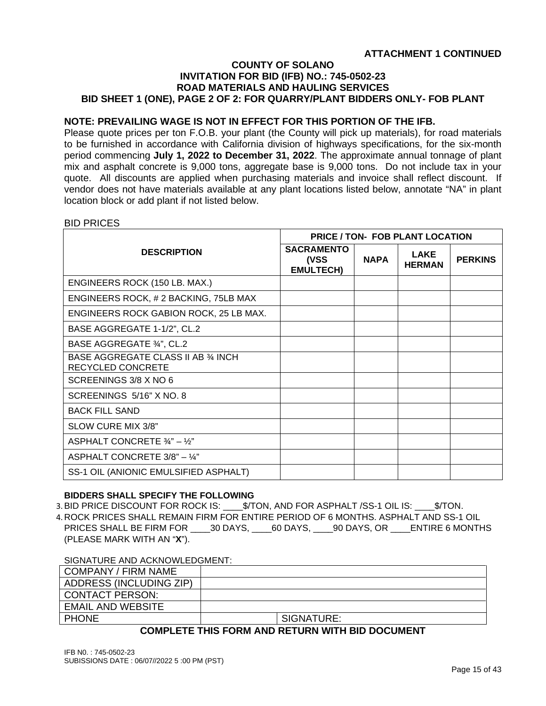## **COUNTY OF SOLANO INVITATION FOR BID (IFB) NO.: 745-0502-23 ROAD MATERIALS AND HAULING SERVICES BID SHEET 1 (ONE), PAGE 2 OF 2: FOR QUARRY/PLANT BIDDERS ONLY- FOB PLANT**

## **NOTE: PREVAILING WAGE IS NOT IN EFFECT FOR THIS PORTION OF THE IFB.**

Please quote prices per ton F.O.B. your plant (the County will pick up materials), for road materials to be furnished in accordance with California division of highways specifications, for the six-month period commencing **July 1, 2022 to December 31, 2022**. The approximate annual tonnage of plant mix and asphalt concrete is 9,000 tons, aggregate base is 9,000 tons. Do not include tax in your quote. All discounts are applied when purchasing materials and invoice shall reflect discount. If vendor does not have materials available at any plant locations listed below, annotate "NA" in plant location block or add plant if not listed below.

#### BID PRICES

|                                                                | <b>PRICE / TON- FOB PLANT LOCATION</b>        |             |                              |                |
|----------------------------------------------------------------|-----------------------------------------------|-------------|------------------------------|----------------|
| <b>DESCRIPTION</b>                                             | <b>SACRAMENTO</b><br>(VSS<br><b>EMULTECH)</b> | <b>NAPA</b> | <b>LAKE</b><br><b>HERMAN</b> | <b>PERKINS</b> |
| ENGINEERS ROCK (150 LB. MAX.)                                  |                                               |             |                              |                |
| ENGINEERS ROCK, # 2 BACKING, 75LB MAX                          |                                               |             |                              |                |
| ENGINEERS ROCK GABION ROCK, 25 LB MAX.                         |                                               |             |                              |                |
| BASE AGGREGATE 1-1/2", CL.2                                    |                                               |             |                              |                |
| BASE AGGREGATE 3/4", CL.2                                      |                                               |             |                              |                |
| <b>BASE AGGREGATE CLASS II AB 34 INCH</b><br>RECYCLED CONCRETE |                                               |             |                              |                |
| SCREENINGS 3/8 X NO 6                                          |                                               |             |                              |                |
| SCREENINGS 5/16" X NO. 8                                       |                                               |             |                              |                |
| <b>BACK FILL SAND</b>                                          |                                               |             |                              |                |
| SLOW CURE MIX 3/8"                                             |                                               |             |                              |                |
| ASPHALT CONCRETE $\frac{3}{4}$ " – $\frac{1}{2}$ "             |                                               |             |                              |                |
| ASPHALT CONCRETE 3/8" - 1/4"                                   |                                               |             |                              |                |
| SS-1 OIL (ANIONIC EMULSIFIED ASPHALT)                          |                                               |             |                              |                |

#### **BIDDERS SHALL SPECIFY THE FOLLOWING**

3.BID PRICE DISCOUNT FOR ROCK IS: \_\_\_\_\$/TON, AND FOR ASPHALT /SS-1 OIL IS: \_\_\_\_\$/TON.

4. ROCK PRICES SHALL REMAIN FIRM FOR ENTIRE PERIOD OF 6 MONTHS. ASPHALT AND SS-1 OIL PRICES SHALL BE FIRM FOR \_\_\_\_30 DAYS, \_\_\_\_60 DAYS, \_\_\_\_90 DAYS, OR \_\_\_\_ENTIRE 6 MONTHS (PLEASE MARK WITH AN "**X**").

#### SIGNATURE AND ACKNOWLEDGMENT:

| COMPANY / FIRM NAME      |            |
|--------------------------|------------|
| ADDRESS (INCLUDING ZIP)  |            |
| <b>CONTACT PERSON:</b>   |            |
| <b>EMAIL AND WEBSITE</b> |            |
| <b>PHONE</b>             | SIGNATURE: |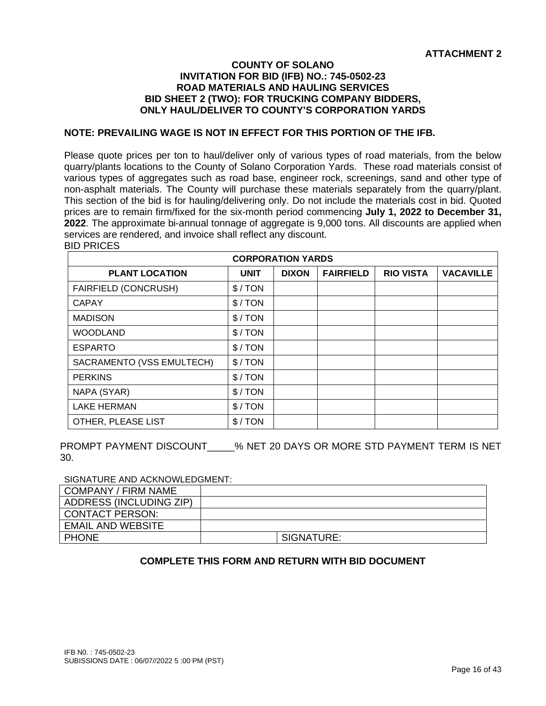#### **COUNTY OF SOLANO INVITATION FOR BID (IFB) NO.: 745-0502-23 ROAD MATERIALS AND HAULING SERVICES BID SHEET 2 (TWO): FOR TRUCKING COMPANY BIDDERS, ONLY HAUL/DELIVER TO COUNTY'S CORPORATION YARDS**

## **NOTE: PREVAILING WAGE IS NOT IN EFFECT FOR THIS PORTION OF THE IFB.**

Please quote prices per ton to haul/deliver only of various types of road materials, from the below quarry/plants locations to the County of Solano Corporation Yards. These road materials consist of various types of aggregates such as road base, engineer rock, screenings, sand and other type of non-asphalt materials. The County will purchase these materials separately from the quarry/plant. This section of the bid is for hauling/delivering only. Do not include the materials cost in bid. Quoted prices are to remain firm/fixed for the six-month period commencing **July 1, 2022 to December 31, 2022**. The approximate bi-annual tonnage of aggregate is 9,000 tons. All discounts are applied when services are rendered, and invoice shall reflect any discount. BID PRICES

| <b>CORPORATION YARDS</b>    |             |              |                  |                  |                  |
|-----------------------------|-------------|--------------|------------------|------------------|------------------|
| <b>PLANT LOCATION</b>       | <b>UNIT</b> | <b>DIXON</b> | <b>FAIRFIELD</b> | <b>RIO VISTA</b> | <b>VACAVILLE</b> |
| <b>FAIRFIELD (CONCRUSH)</b> | \$/TON      |              |                  |                  |                  |
| <b>CAPAY</b>                | \$/TON      |              |                  |                  |                  |
| <b>MADISON</b>              | \$/TON      |              |                  |                  |                  |
| <b>WOODLAND</b>             | \$/TON      |              |                  |                  |                  |
| <b>ESPARTO</b>              | \$/TON      |              |                  |                  |                  |
| SACRAMENTO (VSS EMULTECH)   | \$/TON      |              |                  |                  |                  |
| <b>PERKINS</b>              | \$/TON      |              |                  |                  |                  |
| NAPA (SYAR)                 | \$/TON      |              |                  |                  |                  |
| <b>LAKE HERMAN</b>          | \$/TON      |              |                  |                  |                  |
| OTHER, PLEASE LIST          | \$/TON      |              |                  |                  |                  |

PROMPT PAYMENT DISCOUNT\_\_\_\_\_% NET 20 DAYS OR MORE STD PAYMENT TERM IS NET 30.

#### SIGNATURE AND ACKNOWLEDGMENT:

| I COMPANY / FIRM NAME    |            |
|--------------------------|------------|
| ADDRESS (INCLUDING ZIP)  |            |
| CONTACT PERSON:          |            |
| <b>EMAIL AND WEBSITE</b> |            |
| <b>PHONE</b>             | SIGNATURE: |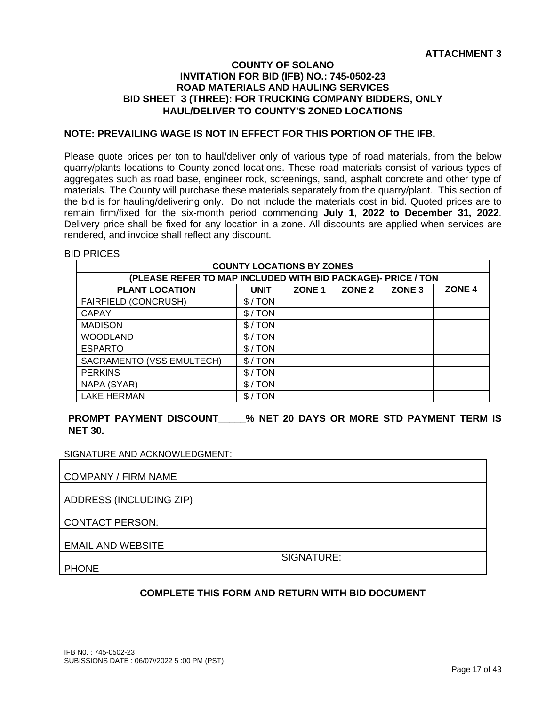#### **COUNTY OF SOLANO INVITATION FOR BID (IFB) NO.: 745-0502-23 ROAD MATERIALS AND HAULING SERVICES BID SHEET 3 (THREE): FOR TRUCKING COMPANY BIDDERS, ONLY HAUL/DELIVER TO COUNTY'S ZONED LOCATIONS**

## **NOTE: PREVAILING WAGE IS NOT IN EFFECT FOR THIS PORTION OF THE IFB.**

Please quote prices per ton to haul/deliver only of various type of road materials, from the below quarry/plants locations to County zoned locations. These road materials consist of various types of aggregates such as road base, engineer rock, screenings, sand, asphalt concrete and other type of materials. The County will purchase these materials separately from the quarry/plant. This section of the bid is for hauling/delivering only. Do not include the materials cost in bid. Quoted prices are to remain firm/fixed for the six-month period commencing **July 1, 2022 to December 31, 2022**. Delivery price shall be fixed for any location in a zone. All discounts are applied when services are rendered, and invoice shall reflect any discount.

| <b>COUNTY LOCATIONS BY ZONES</b>                             |             |                   |                   |                   |                   |
|--------------------------------------------------------------|-------------|-------------------|-------------------|-------------------|-------------------|
| (PLEASE REFER TO MAP INCLUDED WITH BID PACKAGE)- PRICE / TON |             |                   |                   |                   |                   |
| <b>PLANT LOCATION</b>                                        | <b>UNIT</b> | ZONE <sub>1</sub> | ZONE <sub>2</sub> | ZONE <sub>3</sub> | ZONE <sub>4</sub> |
| <b>FAIRFIELD (CONCRUSH)</b>                                  | \$/TON      |                   |                   |                   |                   |
| <b>CAPAY</b>                                                 | \$/TON      |                   |                   |                   |                   |
| <b>MADISON</b>                                               | \$/TON      |                   |                   |                   |                   |
| <b>WOODLAND</b>                                              | \$/TON      |                   |                   |                   |                   |
| <b>ESPARTO</b>                                               | \$/TON      |                   |                   |                   |                   |
| SACRAMENTO (VSS EMULTECH)                                    | \$/TON      |                   |                   |                   |                   |
| <b>PERKINS</b>                                               | \$/TON      |                   |                   |                   |                   |
| NAPA (SYAR)                                                  | \$/TON      |                   |                   |                   |                   |
| <b>LAKE HERMAN</b>                                           | \$/TON      |                   |                   |                   |                   |

## **PROMPT PAYMENT DISCOUNT\_\_\_\_\_% NET 20 DAYS OR MORE STD PAYMENT TERM IS NET 30.**

SIGNATURE AND ACKNOWLEDGMENT:

BID PRICES

| <b>COMPANY / FIRM NAME</b> |            |
|----------------------------|------------|
| ADDRESS (INCLUDING ZIP)    |            |
| <b>CONTACT PERSON:</b>     |            |
| <b>EMAIL AND WEBSITE</b>   |            |
|                            | SIGNATURE: |
| <b>PHONE</b>               |            |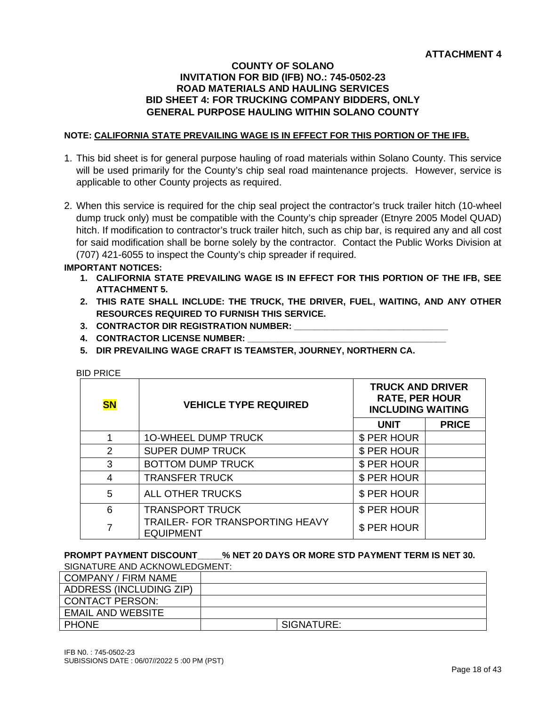## **COUNTY OF SOLANO INVITATION FOR BID (IFB) NO.: 745-0502-23 ROAD MATERIALS AND HAULING SERVICES BID SHEET 4: FOR TRUCKING COMPANY BIDDERS, ONLY GENERAL PURPOSE HAULING WITHIN SOLANO COUNTY**

#### **NOTE: CALIFORNIA STATE PREVAILING WAGE IS IN EFFECT FOR THIS PORTION OF THE IFB.**

- 1. This bid sheet is for general purpose hauling of road materials within Solano County. This service will be used primarily for the County's chip seal road maintenance projects. However, service is applicable to other County projects as required.
- 2. When this service is required for the chip seal project the contractor's truck trailer hitch (10-wheel dump truck only) must be compatible with the County's chip spreader (Etnyre 2005 Model QUAD) hitch. If modification to contractor's truck trailer hitch, such as chip bar, is required any and all cost for said modification shall be borne solely by the contractor. Contact the Public Works Division at (707) 421-6055 to inspect the County's chip spreader if required.

#### **IMPORTANT NOTICES:**

- **1. CALIFORNIA STATE PREVAILING WAGE IS IN EFFECT FOR THIS PORTION OF THE IFB, SEE ATTACHMENT 5.**
- **2. THIS RATE SHALL INCLUDE: THE TRUCK, THE DRIVER, FUEL, WAITING, AND ANY OTHER RESOURCES REQUIRED TO FURNISH THIS SERVICE.**
- 3. CONTRACTOR DIR REGISTRATION NUMBER:
- **4. CONTRACTOR LICENSE NUMBER: \_\_\_\_\_\_\_\_\_\_\_\_\_\_\_\_\_\_\_\_\_\_\_\_\_\_\_\_\_\_\_\_\_\_\_\_\_\_\_\_**
- **5. DIR PREVAILING WAGE CRAFT IS TEAMSTER, JOURNEY, NORTHERN CA.**

| <b>SN</b>     | <b>VEHICLE TYPE REQUIRED</b>                               | <b>TRUCK AND DRIVER</b><br><b>RATE, PER HOUR</b><br><b>INCLUDING WAITING</b> |              |
|---------------|------------------------------------------------------------|------------------------------------------------------------------------------|--------------|
|               |                                                            | <b>UNIT</b>                                                                  | <b>PRICE</b> |
|               | <b>1O-WHEEL DUMP TRUCK</b>                                 | \$ PER HOUR                                                                  |              |
| $\mathcal{P}$ | <b>SUPER DUMP TRUCK</b>                                    | \$ PER HOUR                                                                  |              |
| 3             | <b>BOTTOM DUMP TRUCK</b>                                   | \$ PER HOUR                                                                  |              |
| 4             | <b>TRANSFER TRUCK</b>                                      | \$ PER HOUR                                                                  |              |
| 5             | <b>ALL OTHER TRUCKS</b>                                    | \$ PER HOUR                                                                  |              |
| 6             | <b>TRANSPORT TRUCK</b>                                     | \$ PER HOUR                                                                  |              |
|               | <b>TRAILER- FOR TRANSPORTING HEAVY</b><br><b>EQUIPMENT</b> | \$ PER HOUR                                                                  |              |

## BID PRICE

# **PROMPT PAYMENT DISCOUNT\_\_\_\_\_% NET 20 DAYS OR MORE STD PAYMENT TERM IS NET 30.**

SIGNATURE AND ACKNOWLEDGMENT: COMPANY / FIRM NAME ADDRESS (INCLUDING ZIP) CONTACT PERSON: EMAIL AND WEBSITE PHONE SIGNATURE: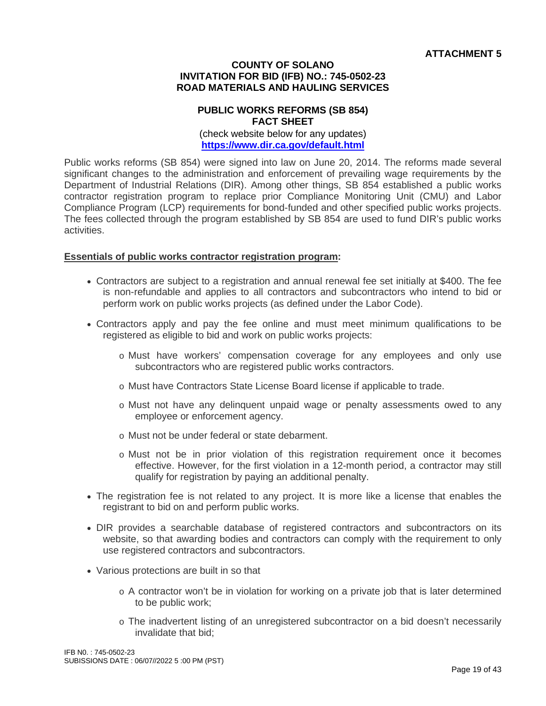#### **COUNTY OF SOLANO INVITATION FOR BID (IFB) NO.: 745-0502-23 ROAD MATERIALS AND HAULING SERVICES**

## **PUBLIC WORKS REFORMS (SB 854) FACT SHEET**

(check website below for any updates) **<https://www.dir.ca.gov/default.html>**

Public works reforms (SB 854) were signed into law on June 20, 2014. The reforms made several significant changes to the administration and enforcement of prevailing wage requirements by the Department of Industrial Relations (DIR). Among other things, SB 854 established a public works contractor registration program to replace prior Compliance Monitoring Unit (CMU) and Labor Compliance Program (LCP) requirements for bond-funded and other specified public works projects. The fees collected through the program established by SB 854 are used to fund DIR's public works activities.

#### **Essentials of public works contractor registration program:**

- Contractors are subject to a registration and annual renewal fee set initially at \$400. The fee is non-refundable and applies to all contractors and subcontractors who intend to bid or perform work on public works projects (as defined under the Labor Code).
- Contractors apply and pay the fee online and must meet minimum qualifications to be registered as eligible to bid and work on public works projects:
	- o Must have workers' compensation coverage for any employees and only use subcontractors who are registered public works contractors.
	- o Must have Contractors State License Board license if applicable to trade.
	- o Must not have any delinquent unpaid wage or penalty assessments owed to any employee or enforcement agency.
	- o Must not be under federal or state debarment.
	- o Must not be in prior violation of this registration requirement once it becomes effective. However, for the first violation in a 12-month period, a contractor may still qualify for registration by paying an additional penalty.
- The registration fee is not related to any project. It is more like a license that enables the registrant to bid on and perform public works.
- DIR provides a searchable database of registered contractors and subcontractors on its website, so that awarding bodies and contractors can comply with the requirement to only use registered contractors and subcontractors.
- Various protections are built in so that
	- $\circ$  A contractor won't be in violation for working on a private job that is later determined to be public work;
	- o The inadvertent listing of an unregistered subcontractor on a bid doesn't necessarily invalidate that bid;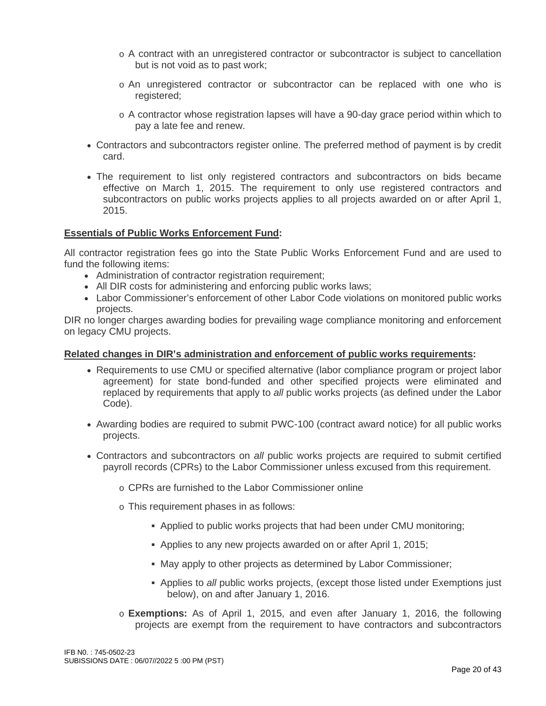- o A contract with an unregistered contractor or subcontractor is subject to cancellation but is not void as to past work;
- o An unregistered contractor or subcontractor can be replaced with one who is registered;
- o A contractor whose registration lapses will have a 90-day grace period within which to pay a late fee and renew.
- Contractors and subcontractors register online. The preferred method of payment is by credit card.
- The requirement to list only registered contractors and subcontractors on bids became effective on March 1, 2015. The requirement to only use registered contractors and subcontractors on public works projects applies to all projects awarded on or after April 1, 2015.

## **Essentials of Public Works Enforcement Fund:**

All contractor registration fees go into the State Public Works Enforcement Fund and are used to fund the following items:

- Administration of contractor registration requirement;
- All DIR costs for administering and enforcing public works laws;
- Labor Commissioner's enforcement of other Labor Code violations on monitored public works projects.

DIR no longer charges awarding bodies for prevailing wage compliance monitoring and enforcement on legacy CMU projects.

#### **Related changes in DIR's administration and enforcement of public works requirements:**

- Requirements to use CMU or specified alternative (labor compliance program or project labor agreement) for state bond-funded and other specified projects were eliminated and replaced by requirements that apply to *all* public works projects (as defined under the Labor Code).
- Awarding bodies are required to submit PWC-100 (contract award notice) for all public works projects.
- Contractors and subcontractors on *all* public works projects are required to submit certified payroll records (CPRs) to the Labor Commissioner unless excused from this requirement.
	- o CPRs are furnished to the Labor Commissioner online
	- o This requirement phases in as follows:
		- Applied to public works projects that had been under CMU monitoring;
		- Applies to any new projects awarded on or after April 1, 2015;
		- May apply to other projects as determined by Labor Commissioner;
		- Applies to *all* public works projects, (except those listed under Exemptions just below), on and after January 1, 2016.
	- o **Exemptions:** As of April 1, 2015, and even after January 1, 2016, the following projects are exempt from the requirement to have contractors and subcontractors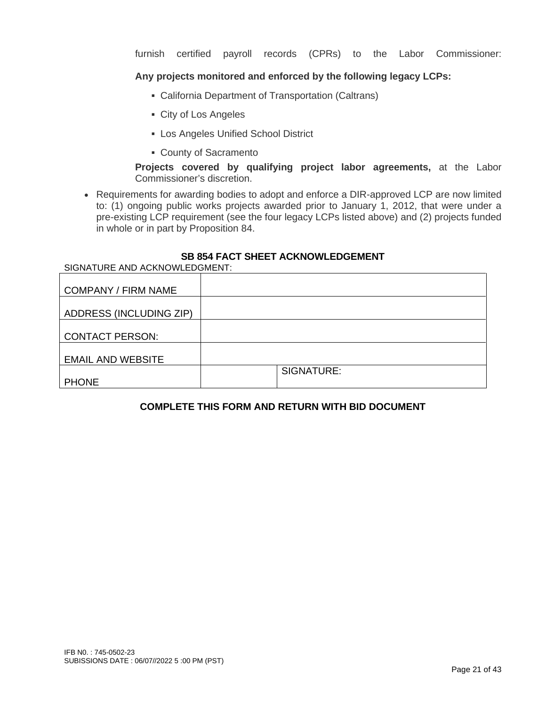furnish certified payroll records (CPRs) to the Labor Commissioner:

## **Any projects monitored and enforced by the following legacy LCPs:**

- California Department of Transportation (Caltrans)
- City of Los Angeles
- Los Angeles Unified School District
- County of Sacramento

### **Projects covered by qualifying project labor agreements,** at the Labor Commissioner's discretion.

• Requirements for awarding bodies to adopt and enforce a DIR-approved LCP are now limited to: (1) ongoing public works projects awarded prior to January 1, 2012, that were under a pre-existing LCP requirement (see the four legacy LCPs listed above) and (2) projects funded in whole or in part by Proposition 84.

## **SB 854 FACT SHEET ACKNOWLEDGEMENT**

## SIGNATURE AND ACKNOWLEDGMENT:

| <b>COMPANY / FIRM NAME</b> |            |
|----------------------------|------------|
| ADDRESS (INCLUDING ZIP)    |            |
| <b>CONTACT PERSON:</b>     |            |
| <b>EMAIL AND WEBSITE</b>   |            |
| <b>PHONE</b>               | SIGNATURE: |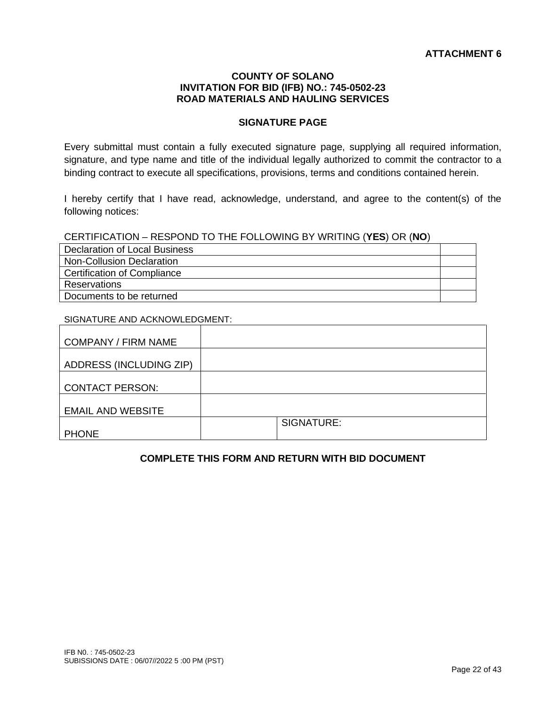#### **COUNTY OF SOLANO INVITATION FOR BID (IFB) NO.: 745-0502-23 ROAD MATERIALS AND HAULING SERVICES**

#### **SIGNATURE PAGE**

Every submittal must contain a fully executed signature page, supplying all required information, signature, and type name and title of the individual legally authorized to commit the contractor to a binding contract to execute all specifications, provisions, terms and conditions contained herein.

I hereby certify that I have read, acknowledge, understand, and agree to the content(s) of the following notices:

CERTIFICATION – RESPOND TO THE FOLLOWING BY WRITING (**YES**) OR (**NO**)

| Declaration of Local Business      |  |
|------------------------------------|--|
| <b>Non-Collusion Declaration</b>   |  |
| <b>Certification of Compliance</b> |  |
| Reservations                       |  |
| Documents to be returned           |  |

SIGNATURE AND ACKNOWLEDGMENT:

| <b>COMPANY / FIRM NAME</b> |            |
|----------------------------|------------|
| ADDRESS (INCLUDING ZIP)    |            |
| <b>CONTACT PERSON:</b>     |            |
| <b>EMAIL AND WEBSITE</b>   |            |
|                            | SIGNATURE: |
| <b>PHONE</b>               |            |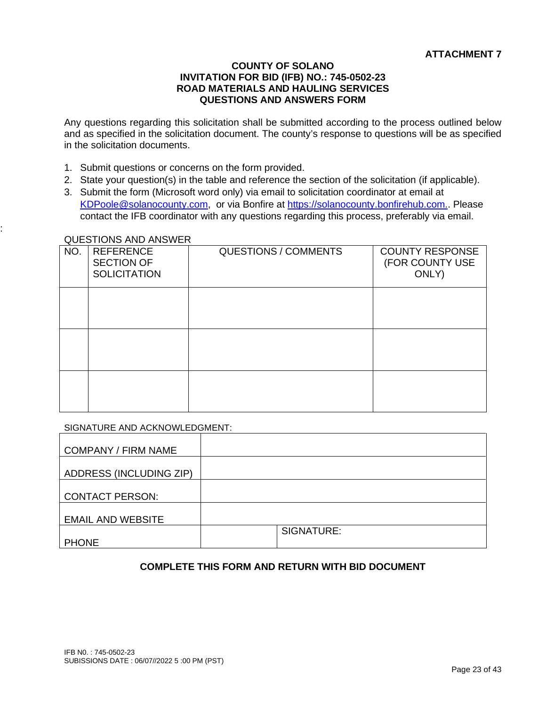#### **COUNTY OF SOLANO INVITATION FOR BID (IFB) NO.: 745-0502-23 ROAD MATERIALS AND HAULING SERVICES QUESTIONS AND ANSWERS FORM**

Any questions regarding this solicitation shall be submitted according to the process outlined below and as specified in the solicitation document. The county's response to questions will be as specified in the solicitation documents.

- 1. Submit questions or concerns on the form provided.
- 2. State your question(s) in the table and reference the section of the solicitation (if applicable).
- 3. Submit the form (Microsoft word only) via email to solicitation coordinator at email at [KDPoole@solanocounty.com,](mailto:KDPoole@solanocounty.com) or via Bonfire at [https://solanocounty.bonfirehub.com.](https://solanocounty.bonfirehub.com/). Please contact the IFB coordinator with any questions regarding this process, preferably via email.

| NO. | <b>REFERENCE</b><br><b>SECTION OF</b><br><b>SOLICITATION</b> | QUESTIONS / COMMENTS | <b>COUNTY RESPONSE</b><br>(FOR COUNTY USE<br>ONLY) |
|-----|--------------------------------------------------------------|----------------------|----------------------------------------------------|
|     |                                                              |                      |                                                    |
|     |                                                              |                      |                                                    |
|     |                                                              |                      |                                                    |

## QUESTIONS AND ANSWER

:

SIGNATURE AND ACKNOWLEDGMENT:

| <b>COMPANY / FIRM NAME</b> |            |
|----------------------------|------------|
| ADDRESS (INCLUDING ZIP)    |            |
| <b>CONTACT PERSON:</b>     |            |
| <b>EMAIL AND WEBSITE</b>   |            |
|                            | SIGNATURE: |
| <b>PHONE</b>               |            |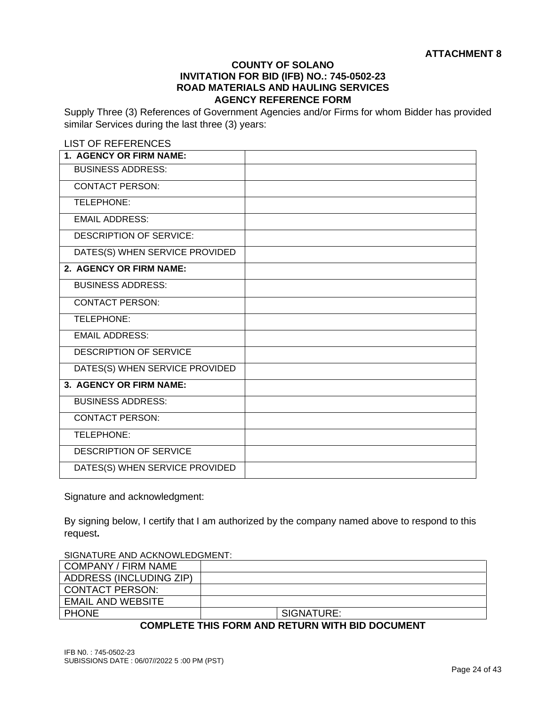#### **COUNTY OF SOLANO INVITATION FOR BID (IFB) NO.: 745-0502-23 ROAD MATERIALS AND HAULING SERVICES AGENCY REFERENCE FORM**

Supply Three (3) References of Government Agencies and/or Firms for whom Bidder has provided similar Services during the last three (3) years:

LIST OF REFERENCES

| 1. AGENCY OR FIRM NAME:        |  |
|--------------------------------|--|
| <b>BUSINESS ADDRESS:</b>       |  |
| <b>CONTACT PERSON:</b>         |  |
| TELEPHONE:                     |  |
| <b>EMAIL ADDRESS:</b>          |  |
| <b>DESCRIPTION OF SERVICE:</b> |  |
| DATES(S) WHEN SERVICE PROVIDED |  |
| 2. AGENCY OR FIRM NAME:        |  |
| <b>BUSINESS ADDRESS:</b>       |  |
| <b>CONTACT PERSON:</b>         |  |
| TELEPHONE:                     |  |
| <b>EMAIL ADDRESS:</b>          |  |
| <b>DESCRIPTION OF SERVICE</b>  |  |
| DATES(S) WHEN SERVICE PROVIDED |  |
| 3. AGENCY OR FIRM NAME:        |  |
| <b>BUSINESS ADDRESS:</b>       |  |
| <b>CONTACT PERSON:</b>         |  |
| TELEPHONE:                     |  |
| <b>DESCRIPTION OF SERVICE</b>  |  |
| DATES(S) WHEN SERVICE PROVIDED |  |

Signature and acknowledgment:

By signing below, I certify that I am authorized by the company named above to respond to this request**.**

SIGNATURE AND ACKNOWLEDGMENT:

| <b>COMPANY / FIRM NAME</b> |            |
|----------------------------|------------|
| ADDRESS (INCLUDING ZIP)    |            |
| <b>CONTACT PERSON:</b>     |            |
| <b>EMAIL AND WEBSITE</b>   |            |
| <b>PHONE</b>               | SIGNATURE: |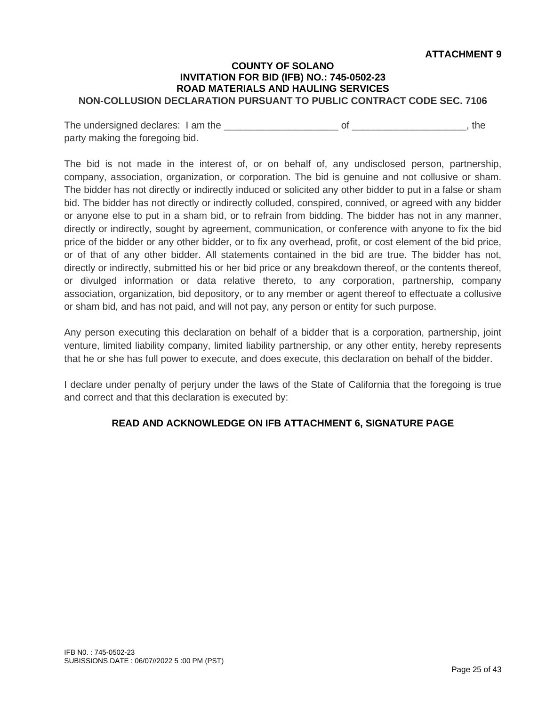#### **COUNTY OF SOLANO INVITATION FOR BID (IFB) NO.: 745-0502-23 ROAD MATERIALS AND HAULING SERVICES NON-COLLUSION DECLARATION PURSUANT TO PUBLIC CONTRACT CODE SEC. 7106**

The undersigned declares: I am the \_\_\_\_\_\_\_\_\_\_\_\_\_\_\_\_\_\_\_\_\_ of \_\_\_\_\_\_\_\_\_\_\_\_\_\_\_\_\_\_\_\_\_, the party making the foregoing bid.

The bid is not made in the interest of, or on behalf of, any undisclosed person, partnership, company, association, organization, or corporation. The bid is genuine and not collusive or sham. The bidder has not directly or indirectly induced or solicited any other bidder to put in a false or sham bid. The bidder has not directly or indirectly colluded, conspired, connived, or agreed with any bidder or anyone else to put in a sham bid, or to refrain from bidding. The bidder has not in any manner, directly or indirectly, sought by agreement, communication, or conference with anyone to fix the bid price of the bidder or any other bidder, or to fix any overhead, profit, or cost element of the bid price, or of that of any other bidder. All statements contained in the bid are true. The bidder has not, directly or indirectly, submitted his or her bid price or any breakdown thereof, or the contents thereof, or divulged information or data relative thereto, to any corporation, partnership, company association, organization, bid depository, or to any member or agent thereof to effectuate a collusive or sham bid, and has not paid, and will not pay, any person or entity for such purpose.

Any person executing this declaration on behalf of a bidder that is a corporation, partnership, joint venture, limited liability company, limited liability partnership, or any other entity, hereby represents that he or she has full power to execute, and does execute, this declaration on behalf of the bidder.

I declare under penalty of perjury under the laws of the State of California that the foregoing is true and correct and that this declaration is executed by:

# **READ AND ACKNOWLEDGE ON IFB ATTACHMENT 6, SIGNATURE PAGE**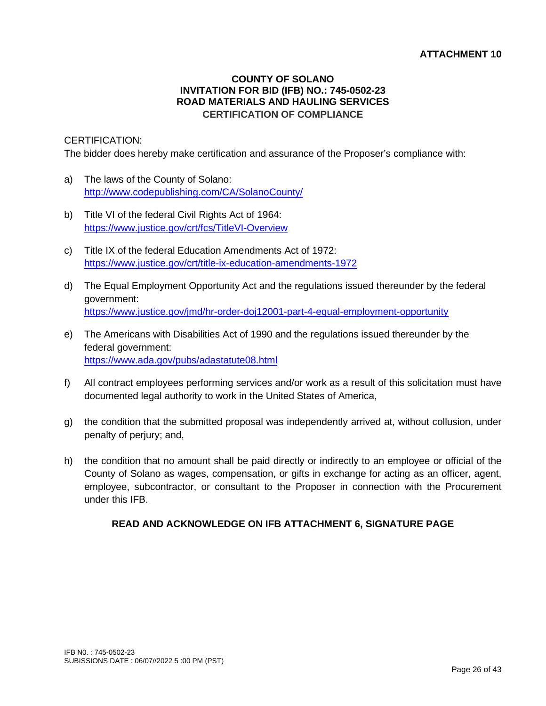## **ATTACHMENT 10**

## **COUNTY OF SOLANO INVITATION FOR BID (IFB) NO.: 745-0502-23 ROAD MATERIALS AND HAULING SERVICES CERTIFICATION OF COMPLIANCE**

#### CERTIFICATION:

The bidder does hereby make certification and assurance of the Proposer's compliance with:

- a) The laws of the County of Solano: <http://www.codepublishing.com/CA/SolanoCounty/>
- b) Title VI of the federal Civil Rights Act of 1964: <https://www.justice.gov/crt/fcs/TitleVI-Overview>
- c) Title IX of the federal Education Amendments Act of 1972: <https://www.justice.gov/crt/title-ix-education-amendments-1972>
- d) The Equal Employment Opportunity Act and the regulations issued thereunder by the federal government: <https://www.justice.gov/jmd/hr-order-doj12001-part-4-equal-employment-opportunity>
- e) The Americans with Disabilities Act of 1990 and the regulations issued thereunder by the federal government: [https://www.ada.gov/pubs/adastatute08.html](https://www.ada.gov/pubs/adastatute08.htm)
- f) All contract employees performing services and/or work as a result of this solicitation must have documented legal authority to work in the United States of America,
- g) the condition that the submitted proposal was independently arrived at, without collusion, under penalty of perjury; and,
- h) the condition that no amount shall be paid directly or indirectly to an employee or official of the County of Solano as wages, compensation, or gifts in exchange for acting as an officer, agent, employee, subcontractor, or consultant to the Proposer in connection with the Procurement under this IFB.

## **READ AND ACKNOWLEDGE ON IFB ATTACHMENT 6, SIGNATURE PAGE**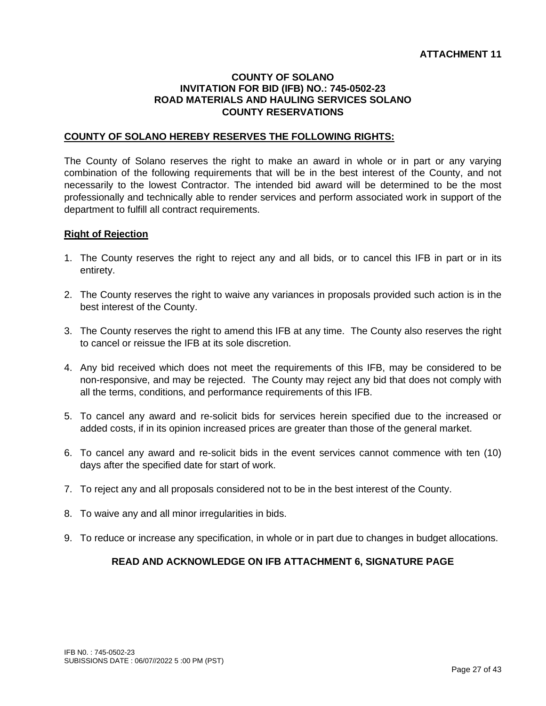### **COUNTY OF SOLANO INVITATION FOR BID (IFB) NO.: 745-0502-23 ROAD MATERIALS AND HAULING SERVICES SOLANO COUNTY RESERVATIONS**

#### **COUNTY OF SOLANO HEREBY RESERVES THE FOLLOWING RIGHTS:**

The County of Solano reserves the right to make an award in whole or in part or any varying combination of the following requirements that will be in the best interest of the County, and not necessarily to the lowest Contractor. The intended bid award will be determined to be the most professionally and technically able to render services and perform associated work in support of the department to fulfill all contract requirements.

#### **Right of Rejection**

- 1. The County reserves the right to reject any and all bids, or to cancel this IFB in part or in its entirety.
- 2. The County reserves the right to waive any variances in proposals provided such action is in the best interest of the County.
- 3. The County reserves the right to amend this IFB at any time. The County also reserves the right to cancel or reissue the IFB at its sole discretion.
- 4. Any bid received which does not meet the requirements of this IFB, may be considered to be non-responsive, and may be rejected. The County may reject any bid that does not comply with all the terms, conditions, and performance requirements of this IFB.
- 5. To cancel any award and re-solicit bids for services herein specified due to the increased or added costs, if in its opinion increased prices are greater than those of the general market.
- 6. To cancel any award and re-solicit bids in the event services cannot commence with ten (10) days after the specified date for start of work.
- 7. To reject any and all proposals considered not to be in the best interest of the County.
- 8. To waive any and all minor irregularities in bids.
- 9. To reduce or increase any specification, in whole or in part due to changes in budget allocations.

## **READ AND ACKNOWLEDGE ON IFB ATTACHMENT 6, SIGNATURE PAGE**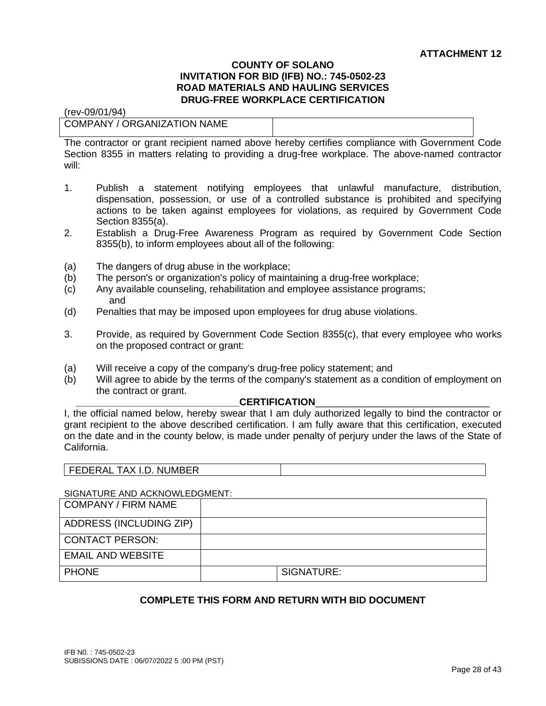## **COUNTY OF SOLANO INVITATION FOR BID (IFB) NO.: 745-0502-23 ROAD MATERIALS AND HAULING SERVICES DRUG-FREE WORKPLACE CERTIFICATION**

(rev-09/01/94)

|  | <b>COMPANY / ORGANIZATION NAME</b> |
|--|------------------------------------|

The contractor or grant recipient named above hereby certifies compliance with Government Code Section 8355 in matters relating to providing a drug-free workplace. The above-named contractor will:

- 1. Publish a statement notifying employees that unlawful manufacture, distribution, dispensation, possession, or use of a controlled substance is prohibited and specifying actions to be taken against employees for violations, as required by Government Code Section 8355(a).
- 2. Establish a Drug-Free Awareness Program as required by Government Code Section 8355(b), to inform employees about all of the following:
- (a) The dangers of drug abuse in the workplace;
- (b) The person's or organization's policy of maintaining a drug-free workplace;
- (c) Any available counseling, rehabilitation and employee assistance programs; and
- (d) Penalties that may be imposed upon employees for drug abuse violations.
- 3. Provide, as required by Government Code Section 8355(c), that every employee who works on the proposed contract or grant:
- (a) Will receive a copy of the company's drug-free policy statement; and
- (b) Will agree to abide by the terms of the company's statement as a condition of employment on the contract or grant.

#### CERTIFICATION

I, the official named below, hereby swear that I am duly authorized legally to bind the contractor or grant recipient to the above described certification. I am fully aware that this certification, executed on the date and in the county below, is made under penalty of perjury under the laws of the State of California.

| <b>NUMBER</b><br><b>FFDFRA</b><br>ΆX<br>ומי<br>-NAL<br> |  |
|---------------------------------------------------------|--|
|---------------------------------------------------------|--|

#### SIGNATURE AND ACKNOWLEDGMENT:

| <b>COMPANY / FIRM NAME</b> |            |
|----------------------------|------------|
| ADDRESS (INCLUDING ZIP)    |            |
| <b>CONTACT PERSON:</b>     |            |
| <b>EMAIL AND WEBSITE</b>   |            |
| <b>PHONE</b>               | SIGNATURE: |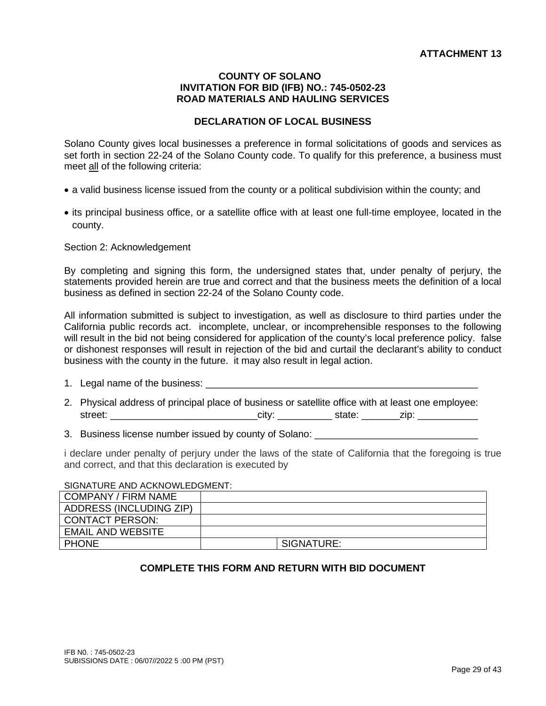#### **COUNTY OF SOLANO INVITATION FOR BID (IFB) NO.: 745-0502-23 ROAD MATERIALS AND HAULING SERVICES**

#### **DECLARATION OF LOCAL BUSINESS**

Solano County gives local businesses a preference in formal solicitations of goods and services as set forth in section 22-24 of the Solano County code. To qualify for this preference, a business must meet all of the following criteria:

- a valid business license issued from the county or a political subdivision within the county; and
- its principal business office, or a satellite office with at least one full-time employee, located in the county.

#### Section 2: Acknowledgement

By completing and signing this form, the undersigned states that, under penalty of perjury, the statements provided herein are true and correct and that the business meets the definition of a local business as defined in section 22-24 of the Solano County code.

All information submitted is subject to investigation, as well as disclosure to third parties under the California public records act. incomplete, unclear, or incomprehensible responses to the following will result in the bid not being considered for application of the county's local preference policy. false or dishonest responses will result in rejection of the bid and curtail the declarant's ability to conduct business with the county in the future. it may also result in legal action.

- 1. Legal name of the business:
- 2. Physical address of principal place of business or satellite office with at least one employee: street: \_\_\_\_\_\_\_\_\_\_\_\_\_\_\_\_\_\_\_\_\_\_\_\_\_\_\_\_\_\_\_\_\_\_city: \_\_\_\_\_\_\_\_\_\_\_\_\_\_\_state: \_\_\_\_\_\_\_\_\_\_zip: \_\_\_
- 3. Business license number issued by county of Solano:

i declare under penalty of perjury under the laws of the state of California that the foregoing is true and correct, and that this declaration is executed by

#### SIGNATURE AND ACKNOWLEDGMENT:

| <b>COMPANY / FIRM NAME</b> |            |
|----------------------------|------------|
| ADDRESS (INCLUDING ZIP)    |            |
| <b>CONTACT PERSON:</b>     |            |
| EMAIL AND WEBSITE          |            |
| <b>PHONE</b>               | SIGNATURE: |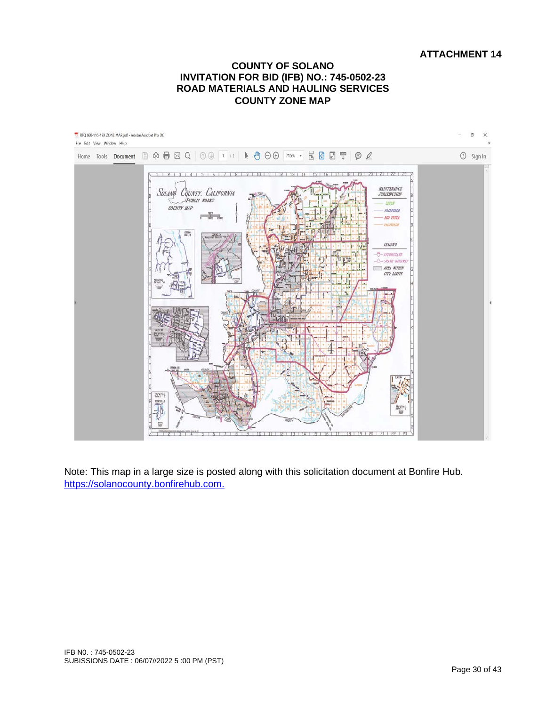## **ATTACHMENT 14**

## **COUNTY OF SOLANO INVITATION FOR BID (IFB) NO.: 745-0502-23 ROAD MATERIALS AND HAULING SERVICES COUNTY ZONE MAP**



Note: This map in a large size is posted along with this solicitation document at Bonfire Hub. [https://solanocounty.bonfirehub.com.](https://solanocounty.bonfirehub.com/)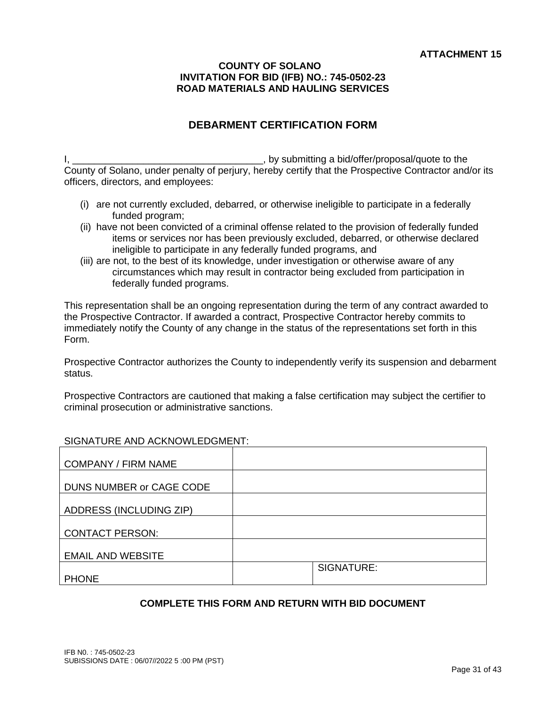## **COUNTY OF SOLANO INVITATION FOR BID (IFB) NO.: 745-0502-23 ROAD MATERIALS AND HAULING SERVICES**

# **DEBARMENT CERTIFICATION FORM**

I, Let the submitting a bid/offer/proposal/quote to the County of Solano, under penalty of perjury, hereby certify that the Prospective Contractor and/or its officers, directors, and employees:

- (i) are not currently excluded, debarred, or otherwise ineligible to participate in a federally funded program;
- (ii) have not been convicted of a criminal offense related to the provision of federally funded items or services nor has been previously excluded, debarred, or otherwise declared ineligible to participate in any federally funded programs, and
- (iii) are not, to the best of its knowledge, under investigation or otherwise aware of any circumstances which may result in contractor being excluded from participation in federally funded programs.

This representation shall be an ongoing representation during the term of any contract awarded to the Prospective Contractor. If awarded a contract, Prospective Contractor hereby commits to immediately notify the County of any change in the status of the representations set forth in this Form.

Prospective Contractor authorizes the County to independently verify its suspension and debarment status.

Prospective Contractors are cautioned that making a false certification may subject the certifier to criminal prosecution or administrative sanctions.

## SIGNATURE AND ACKNOWLEDGMENT:

| <b>COMPANY / FIRM NAME</b> |            |
|----------------------------|------------|
| DUNS NUMBER or CAGE CODE   |            |
| ADDRESS (INCLUDING ZIP)    |            |
| <b>CONTACT PERSON:</b>     |            |
| <b>EMAIL AND WEBSITE</b>   |            |
| <b>PHONE</b>               | SIGNATURE: |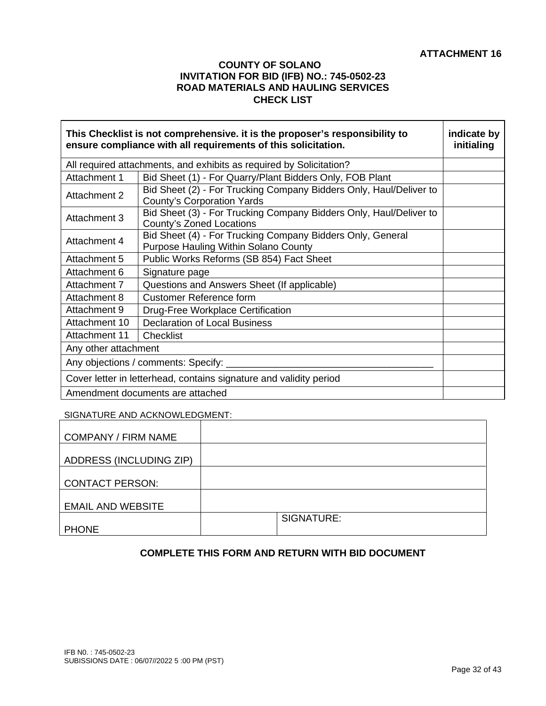## **COUNTY OF SOLANO INVITATION FOR BID (IFB) NO.: 745-0502-23 ROAD MATERIALS AND HAULING SERVICES CHECK LIST**

| This Checklist is not comprehensive. It is the proposer's responsibility to<br>ensure compliance with all requirements of this solicitation. |                                                                                                         |  |
|----------------------------------------------------------------------------------------------------------------------------------------------|---------------------------------------------------------------------------------------------------------|--|
|                                                                                                                                              | All required attachments, and exhibits as required by Solicitation?                                     |  |
| Attachment 1                                                                                                                                 | Bid Sheet (1) - For Quarry/Plant Bidders Only, FOB Plant                                                |  |
| Attachment 2                                                                                                                                 | Bid Sheet (2) - For Trucking Company Bidders Only, Haul/Deliver to<br><b>County's Corporation Yards</b> |  |
| Attachment 3                                                                                                                                 | Bid Sheet (3) - For Trucking Company Bidders Only, Haul/Deliver to<br>County's Zoned Locations          |  |
| Attachment 4                                                                                                                                 | Bid Sheet (4) - For Trucking Company Bidders Only, General<br>Purpose Hauling Within Solano County      |  |
| Attachment 5                                                                                                                                 | Public Works Reforms (SB 854) Fact Sheet                                                                |  |
| Attachment 6                                                                                                                                 | Signature page                                                                                          |  |
| Attachment 7                                                                                                                                 | Questions and Answers Sheet (If applicable)                                                             |  |
| Attachment 8                                                                                                                                 | <b>Customer Reference form</b>                                                                          |  |
| Attachment 9                                                                                                                                 | Drug-Free Workplace Certification                                                                       |  |
| Attachment 10                                                                                                                                | <b>Declaration of Local Business</b>                                                                    |  |
| Attachment 11<br>Checklist                                                                                                                   |                                                                                                         |  |
| Any other attachment                                                                                                                         |                                                                                                         |  |
| Any objections / comments: Specify:                                                                                                          |                                                                                                         |  |
| Cover letter in letterhead, contains signature and validity period                                                                           |                                                                                                         |  |
| Amendment documents are attached                                                                                                             |                                                                                                         |  |

## SIGNATURE AND ACKNOWLEDGMENT:

| <b>COMPANY / FIRM NAME</b> |            |
|----------------------------|------------|
| ADDRESS (INCLUDING ZIP)    |            |
| <b>CONTACT PERSON:</b>     |            |
| <b>EMAIL AND WEBSITE</b>   |            |
| <b>PHONE</b>               | SIGNATURE: |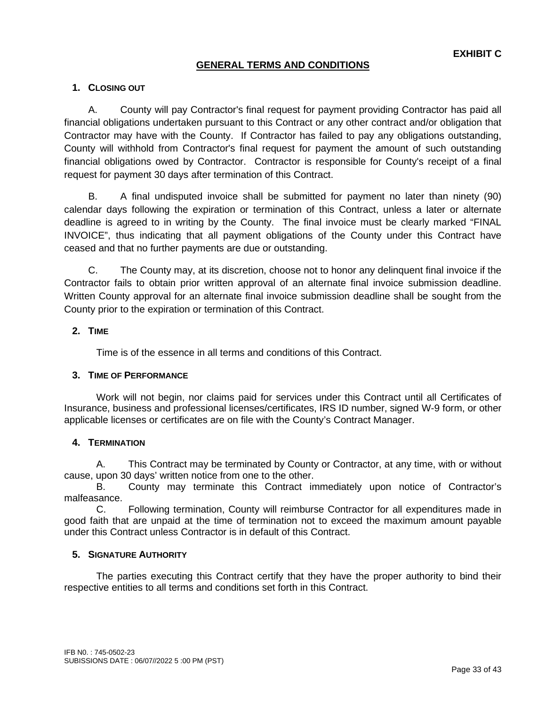## **GENERAL TERMS AND CONDITIONS**

## **1. CLOSING OUT**

A. County will pay Contractor's final request for payment providing Contractor has paid all financial obligations undertaken pursuant to this Contract or any other contract and/or obligation that Contractor may have with the County. If Contractor has failed to pay any obligations outstanding, County will withhold from Contractor's final request for payment the amount of such outstanding financial obligations owed by Contractor. Contractor is responsible for County's receipt of a final request for payment 30 days after termination of this Contract.

B. A final undisputed invoice shall be submitted for payment no later than ninety (90) calendar days following the expiration or termination of this Contract, unless a later or alternate deadline is agreed to in writing by the County. The final invoice must be clearly marked "FINAL INVOICE", thus indicating that all payment obligations of the County under this Contract have ceased and that no further payments are due or outstanding.

C. The County may, at its discretion, choose not to honor any delinquent final invoice if the Contractor fails to obtain prior written approval of an alternate final invoice submission deadline. Written County approval for an alternate final invoice submission deadline shall be sought from the County prior to the expiration or termination of this Contract.

## **2. TIME**

Time is of the essence in all terms and conditions of this Contract.

## **3. TIME OF PERFORMANCE**

Work will not begin, nor claims paid for services under this Contract until all Certificates of Insurance, business and professional licenses/certificates, IRS ID number, signed W-9 form, or other applicable licenses or certificates are on file with the County's Contract Manager.

## **4. TERMINATION**

A. This Contract may be terminated by County or Contractor, at any time, with or without cause, upon 30 days' written notice from one to the other.

B. County may terminate this Contract immediately upon notice of Contractor's malfeasance.

C. Following termination, County will reimburse Contractor for all expenditures made in good faith that are unpaid at the time of termination not to exceed the maximum amount payable under this Contract unless Contractor is in default of this Contract.

## **5. SIGNATURE AUTHORITY**

The parties executing this Contract certify that they have the proper authority to bind their respective entities to all terms and conditions set forth in this Contract.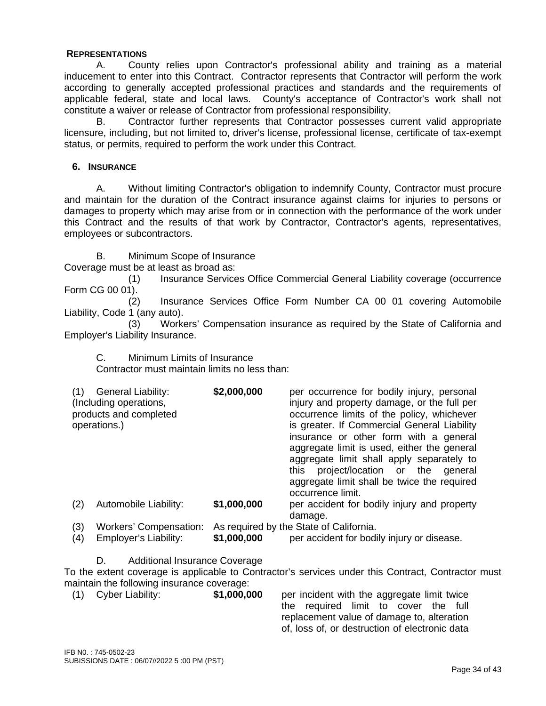## **REPRESENTATIONS**

A. County relies upon Contractor's professional ability and training as a material inducement to enter into this Contract. Contractor represents that Contractor will perform the work according to generally accepted professional practices and standards and the requirements of applicable federal, state and local laws. County's acceptance of Contractor's work shall not constitute a waiver or release of Contractor from professional responsibility.

B. Contractor further represents that Contractor possesses current valid appropriate licensure, including, but not limited to, driver's license, professional license, certificate of tax-exempt status, or permits, required to perform the work under this Contract.

## **6. INSURANCE**

A. Without limiting Contractor's obligation to indemnify County, Contractor must procure and maintain for the duration of the Contract insurance against claims for injuries to persons or damages to property which may arise from or in connection with the performance of the work under this Contract and the results of that work by Contractor, Contractor's agents, representatives, employees or subcontractors.

B. Minimum Scope of Insurance Coverage must be at least as broad as:

(1) Insurance Services Office Commercial General Liability coverage (occurrence Form CG 00 01).

(2) Insurance Services Office Form Number CA 00 01 covering Automobile Liability, Code 1 (any auto).

(3) Workers' Compensation insurance as required by the State of California and Employer's Liability Insurance.

C. Minimum Limits of Insurance Contractor must maintain limits no less than:

| <b>General Liability:</b><br>(1)<br>(Including operations,<br>products and completed<br>operations.) |                       | \$2,000,000                                                   | per occurrence for bodily injury, personal<br>injury and property damage, or the full per<br>occurrence limits of the policy, whichever<br>is greater. If Commercial General Liability<br>insurance or other form with a general<br>aggregate limit is used, either the general |
|------------------------------------------------------------------------------------------------------|-----------------------|---------------------------------------------------------------|---------------------------------------------------------------------------------------------------------------------------------------------------------------------------------------------------------------------------------------------------------------------------------|
|                                                                                                      |                       |                                                               | aggregate limit shall apply separately to<br>project/location or the<br>this<br>general<br>aggregate limit shall be twice the required<br>occurrence limit.                                                                                                                     |
| (2)                                                                                                  | Automobile Liability: | \$1,000,000                                                   | per accident for bodily injury and property<br>damage.                                                                                                                                                                                                                          |
| (3)                                                                                                  |                       | Workers' Compensation: As required by the State of California |                                                                                                                                                                                                                                                                                 |

- Workers' Compensation: As required by the State of California. (4) Employer's Liability: **\$1,000,000** per accident for bodily injury or disease.
	- D. Additional Insurance Coverage

To the extent coverage is applicable to Contractor's services under this Contract, Contractor must maintain the following insurance coverage:

| (1) | Cyber Liability: | \$1,000,000 | per incident with the aggregate limit twice<br>the required limit to cover the full<br>replacement value of damage to, alteration |
|-----|------------------|-------------|-----------------------------------------------------------------------------------------------------------------------------------|
|     |                  |             | of, loss of, or destruction of electronic data                                                                                    |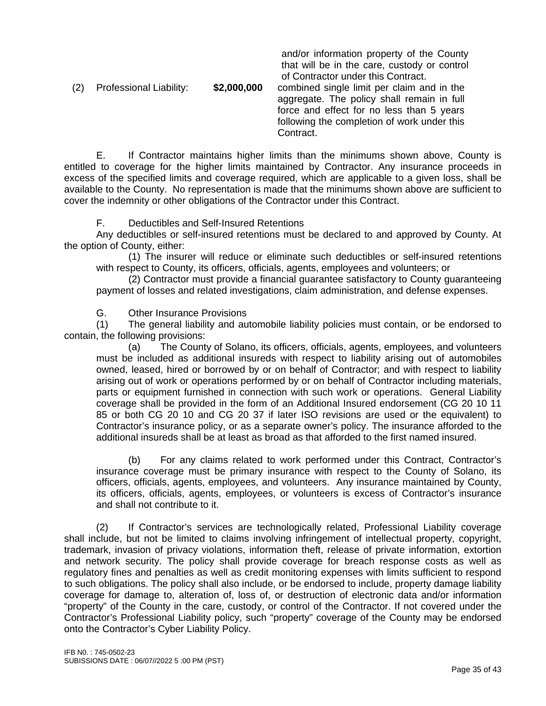| \$2,000,000<br>Professional Liability:<br>(2) | and/or information property of the County<br>that will be in the care, custody or control<br>of Contractor under this Contract.<br>combined single limit per claim and in the<br>aggregate. The policy shall remain in full<br>force and effect for no less than 5 years<br>following the completion of work under this<br>Contract. |
|-----------------------------------------------|--------------------------------------------------------------------------------------------------------------------------------------------------------------------------------------------------------------------------------------------------------------------------------------------------------------------------------------|
|-----------------------------------------------|--------------------------------------------------------------------------------------------------------------------------------------------------------------------------------------------------------------------------------------------------------------------------------------------------------------------------------------|

E. If Contractor maintains higher limits than the minimums shown above, County is entitled to coverage for the higher limits maintained by Contractor. Any insurance proceeds in excess of the specified limits and coverage required, which are applicable to a given loss, shall be available to the County. No representation is made that the minimums shown above are sufficient to cover the indemnity or other obligations of the Contractor under this Contract.

F. Deductibles and Self-Insured Retentions

Any deductibles or self-insured retentions must be declared to and approved by County. At the option of County, either:

(1) The insurer will reduce or eliminate such deductibles or self-insured retentions with respect to County, its officers, officials, agents, employees and volunteers; or

(2) Contractor must provide a financial guarantee satisfactory to County guaranteeing payment of losses and related investigations, claim administration, and defense expenses.

G. Other Insurance Provisions

(1) The general liability and automobile liability policies must contain, or be endorsed to contain, the following provisions:

(a) The County of Solano, its officers, officials, agents, employees, and volunteers must be included as additional insureds with respect to liability arising out of automobiles owned, leased, hired or borrowed by or on behalf of Contractor; and with respect to liability arising out of work or operations performed by or on behalf of Contractor including materials, parts or equipment furnished in connection with such work or operations. General Liability coverage shall be provided in the form of an Additional Insured endorsement (CG 20 10 11 85 or both CG 20 10 and CG 20 37 if later ISO revisions are used or the equivalent) to Contractor's insurance policy, or as a separate owner's policy. The insurance afforded to the additional insureds shall be at least as broad as that afforded to the first named insured.

(b) For any claims related to work performed under this Contract, Contractor's insurance coverage must be primary insurance with respect to the County of Solano, its officers, officials, agents, employees, and volunteers. Any insurance maintained by County, its officers, officials, agents, employees, or volunteers is excess of Contractor's insurance and shall not contribute to it.

(2) If Contractor's services are technologically related, Professional Liability coverage shall include, but not be limited to claims involving infringement of intellectual property, copyright, trademark, invasion of privacy violations, information theft, release of private information, extortion and network security. The policy shall provide coverage for breach response costs as well as regulatory fines and penalties as well as credit monitoring expenses with limits sufficient to respond to such obligations. The policy shall also include, or be endorsed to include, property damage liability coverage for damage to, alteration of, loss of, or destruction of electronic data and/or information "property" of the County in the care, custody, or control of the Contractor. If not covered under the Contractor's Professional Liability policy, such "property" coverage of the County may be endorsed onto the Contractor's Cyber Liability Policy.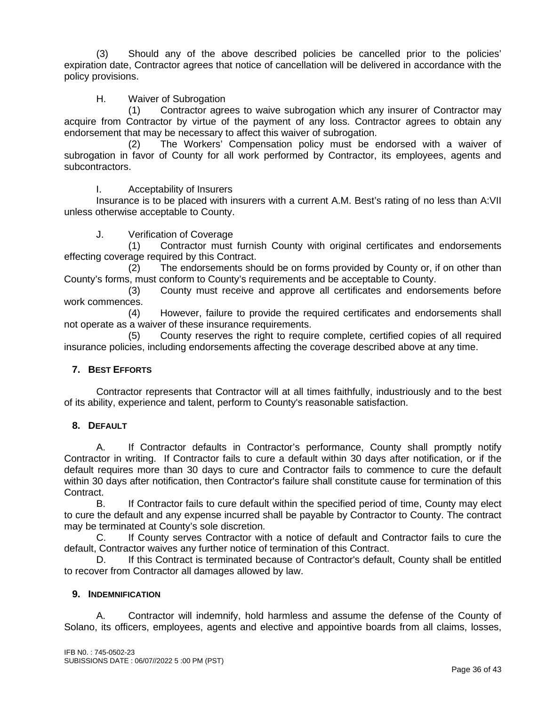(3) Should any of the above described policies be cancelled prior to the policies' expiration date, Contractor agrees that notice of cancellation will be delivered in accordance with the policy provisions.

## H. Waiver of Subrogation

(1) Contractor agrees to waive subrogation which any insurer of Contractor may acquire from Contractor by virtue of the payment of any loss. Contractor agrees to obtain any endorsement that may be necessary to affect this waiver of subrogation.

(2) The Workers' Compensation policy must be endorsed with a waiver of subrogation in favor of County for all work performed by Contractor, its employees, agents and subcontractors.

I. Acceptability of Insurers

Insurance is to be placed with insurers with a current A.M. Best's rating of no less than A:VII unless otherwise acceptable to County.

## J. Verification of Coverage

(1) Contractor must furnish County with original certificates and endorsements effecting coverage required by this Contract.

(2) The endorsements should be on forms provided by County or, if on other than County's forms, must conform to County's requirements and be acceptable to County.

(3) County must receive and approve all certificates and endorsements before work commences.

(4) However, failure to provide the required certificates and endorsements shall not operate as a waiver of these insurance requirements.

(5) County reserves the right to require complete, certified copies of all required insurance policies, including endorsements affecting the coverage described above at any time.

## **7. BEST EFFORTS**

Contractor represents that Contractor will at all times faithfully, industriously and to the best of its ability, experience and talent, perform to County's reasonable satisfaction.

## **8. DEFAULT**

A. If Contractor defaults in Contractor's performance, County shall promptly notify Contractor in writing. If Contractor fails to cure a default within 30 days after notification, or if the default requires more than 30 days to cure and Contractor fails to commence to cure the default within 30 days after notification, then Contractor's failure shall constitute cause for termination of this Contract.

B. If Contractor fails to cure default within the specified period of time, County may elect to cure the default and any expense incurred shall be payable by Contractor to County. The contract may be terminated at County's sole discretion.

C. If County serves Contractor with a notice of default and Contractor fails to cure the default, Contractor waives any further notice of termination of this Contract.

D. If this Contract is terminated because of Contractor's default, County shall be entitled to recover from Contractor all damages allowed by law.

#### **9. INDEMNIFICATION**

A. Contractor will indemnify, hold harmless and assume the defense of the County of Solano, its officers, employees, agents and elective and appointive boards from all claims, losses,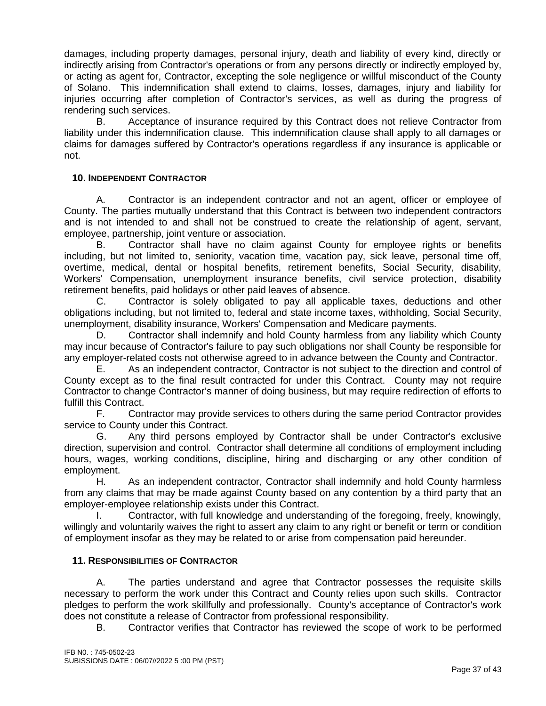damages, including property damages, personal injury, death and liability of every kind, directly or indirectly arising from Contractor's operations or from any persons directly or indirectly employed by, or acting as agent for, Contractor, excepting the sole negligence or willful misconduct of the County of Solano. This indemnification shall extend to claims, losses, damages, injury and liability for injuries occurring after completion of Contractor's services, as well as during the progress of rendering such services.

B. Acceptance of insurance required by this Contract does not relieve Contractor from liability under this indemnification clause. This indemnification clause shall apply to all damages or claims for damages suffered by Contractor's operations regardless if any insurance is applicable or not.

## **10. INDEPENDENT CONTRACTOR**

A. Contractor is an independent contractor and not an agent, officer or employee of County. The parties mutually understand that this Contract is between two independent contractors and is not intended to and shall not be construed to create the relationship of agent, servant, employee, partnership, joint venture or association.

B. Contractor shall have no claim against County for employee rights or benefits including, but not limited to, seniority, vacation time, vacation pay, sick leave, personal time off, overtime, medical, dental or hospital benefits, retirement benefits, Social Security, disability, Workers' Compensation, unemployment insurance benefits, civil service protection, disability retirement benefits, paid holidays or other paid leaves of absence.

C. Contractor is solely obligated to pay all applicable taxes, deductions and other obligations including, but not limited to, federal and state income taxes, withholding, Social Security, unemployment, disability insurance, Workers' Compensation and Medicare payments.

D. Contractor shall indemnify and hold County harmless from any liability which County may incur because of Contractor's failure to pay such obligations nor shall County be responsible for any employer-related costs not otherwise agreed to in advance between the County and Contractor.

E. As an independent contractor, Contractor is not subject to the direction and control of County except as to the final result contracted for under this Contract. County may not require Contractor to change Contractor's manner of doing business, but may require redirection of efforts to fulfill this Contract.

F. Contractor may provide services to others during the same period Contractor provides service to County under this Contract.

G. Any third persons employed by Contractor shall be under Contractor's exclusive direction, supervision and control. Contractor shall determine all conditions of employment including hours, wages, working conditions, discipline, hiring and discharging or any other condition of employment.

H. As an independent contractor, Contractor shall indemnify and hold County harmless from any claims that may be made against County based on any contention by a third party that an employer-employee relationship exists under this Contract.

I. Contractor, with full knowledge and understanding of the foregoing, freely, knowingly, willingly and voluntarily waives the right to assert any claim to any right or benefit or term or condition of employment insofar as they may be related to or arise from compensation paid hereunder.

#### **11. RESPONSIBILITIES OF CONTRACTOR**

A. The parties understand and agree that Contractor possesses the requisite skills necessary to perform the work under this Contract and County relies upon such skills. Contractor pledges to perform the work skillfully and professionally. County's acceptance of Contractor's work does not constitute a release of Contractor from professional responsibility.

B. Contractor verifies that Contractor has reviewed the scope of work to be performed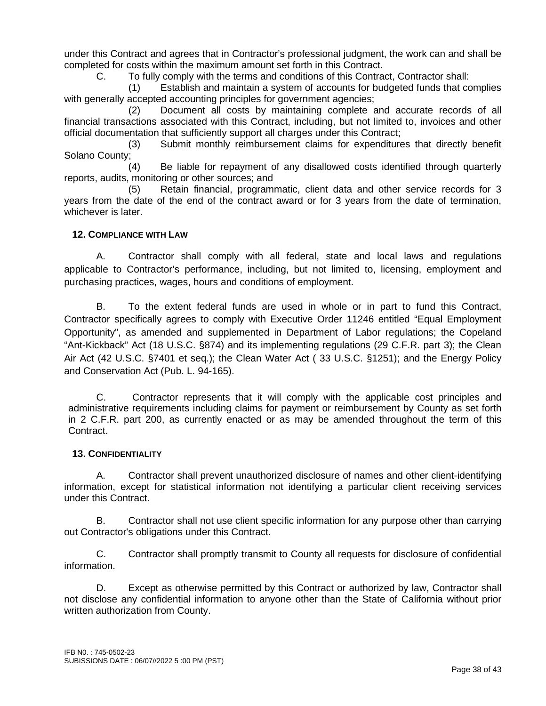under this Contract and agrees that in Contractor's professional judgment, the work can and shall be completed for costs within the maximum amount set forth in this Contract.

C. To fully comply with the terms and conditions of this Contract, Contractor shall:<br>(1) Establish and maintain a system of accounts for budgeted funds that co

Establish and maintain a system of accounts for budgeted funds that complies with generally accepted accounting principles for government agencies;

(2) Document all costs by maintaining complete and accurate records of all financial transactions associated with this Contract, including, but not limited to, invoices and other official documentation that sufficiently support all charges under this Contract;

(3) Submit monthly reimbursement claims for expenditures that directly benefit Solano County;

(4) Be liable for repayment of any disallowed costs identified through quarterly reports, audits, monitoring or other sources; and

(5) Retain financial, programmatic, client data and other service records for 3 years from the date of the end of the contract award or for 3 years from the date of termination, whichever is later.

## **12. COMPLIANCE WITH LAW**

A. Contractor shall comply with all federal, state and local laws and regulations applicable to Contractor's performance, including, but not limited to, licensing, employment and purchasing practices, wages, hours and conditions of employment.

B. To the extent federal funds are used in whole or in part to fund this Contract, Contractor specifically agrees to comply with Executive Order 11246 entitled "Equal Employment Opportunity", as amended and supplemented in Department of Labor regulations; the Copeland "Ant-Kickback" Act (18 U.S.C. §874) and its implementing regulations (29 C.F.R. part 3); the Clean Air Act (42 U.S.C. §7401 et seq.); the Clean Water Act ( 33 U.S.C. §1251); and the Energy Policy and Conservation Act (Pub. L. 94-165).

C. Contractor represents that it will comply with the applicable cost principles and administrative requirements including claims for payment or reimbursement by County as set forth in 2 C.F.R. part 200, as currently enacted or as may be amended throughout the term of this Contract.

#### **13. CONFIDENTIALITY**

A. Contractor shall prevent unauthorized disclosure of names and other client-identifying information, except for statistical information not identifying a particular client receiving services under this Contract.

B. Contractor shall not use client specific information for any purpose other than carrying out Contractor's obligations under this Contract.

C. Contractor shall promptly transmit to County all requests for disclosure of confidential information.

D. Except as otherwise permitted by this Contract or authorized by law, Contractor shall not disclose any confidential information to anyone other than the State of California without prior written authorization from County.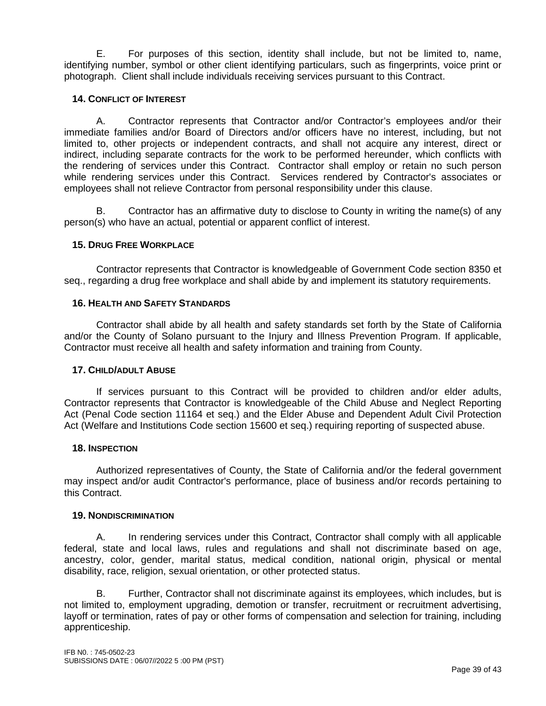E. For purposes of this section, identity shall include, but not be limited to, name, identifying number, symbol or other client identifying particulars, such as fingerprints, voice print or photograph. Client shall include individuals receiving services pursuant to this Contract.

## **14. CONFLICT OF INTEREST**

A. Contractor represents that Contractor and/or Contractor's employees and/or their immediate families and/or Board of Directors and/or officers have no interest, including, but not limited to, other projects or independent contracts, and shall not acquire any interest, direct or indirect, including separate contracts for the work to be performed hereunder, which conflicts with the rendering of services under this Contract. Contractor shall employ or retain no such person while rendering services under this Contract. Services rendered by Contractor's associates or employees shall not relieve Contractor from personal responsibility under this clause.

B. Contractor has an affirmative duty to disclose to County in writing the name(s) of any person(s) who have an actual, potential or apparent conflict of interest.

## **15. DRUG FREE WORKPLACE**

Contractor represents that Contractor is knowledgeable of Government Code section 8350 et seq., regarding a drug free workplace and shall abide by and implement its statutory requirements.

#### **16. HEALTH AND SAFETY STANDARDS**

Contractor shall abide by all health and safety standards set forth by the State of California and/or the County of Solano pursuant to the Injury and Illness Prevention Program. If applicable, Contractor must receive all health and safety information and training from County.

#### **17. CHILD/ADULT ABUSE**

If services pursuant to this Contract will be provided to children and/or elder adults, Contractor represents that Contractor is knowledgeable of the Child Abuse and Neglect Reporting Act (Penal Code section 11164 et seq.) and the Elder Abuse and Dependent Adult Civil Protection Act (Welfare and Institutions Code section 15600 et seq.) requiring reporting of suspected abuse.

## **18. INSPECTION**

Authorized representatives of County, the State of California and/or the federal government may inspect and/or audit Contractor's performance, place of business and/or records pertaining to this Contract.

#### **19. NONDISCRIMINATION**

A. In rendering services under this Contract, Contractor shall comply with all applicable federal, state and local laws, rules and regulations and shall not discriminate based on age, ancestry, color, gender, marital status, medical condition, national origin, physical or mental disability, race, religion, sexual orientation, or other protected status.

B. Further, Contractor shall not discriminate against its employees, which includes, but is not limited to, employment upgrading, demotion or transfer, recruitment or recruitment advertising, layoff or termination, rates of pay or other forms of compensation and selection for training, including apprenticeship.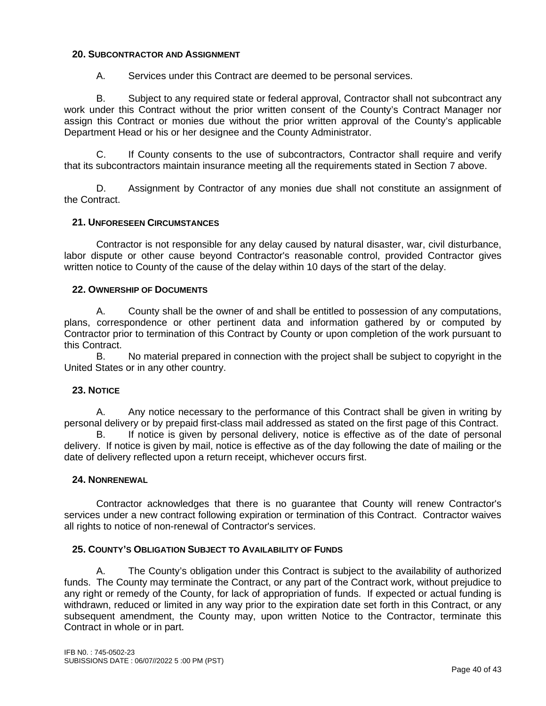## **20. SUBCONTRACTOR AND ASSIGNMENT**

A. Services under this Contract are deemed to be personal services.

B. Subject to any required state or federal approval, Contractor shall not subcontract any work under this Contract without the prior written consent of the County's Contract Manager nor assign this Contract or monies due without the prior written approval of the County's applicable Department Head or his or her designee and the County Administrator.

C. If County consents to the use of subcontractors, Contractor shall require and verify that its subcontractors maintain insurance meeting all the requirements stated in Section 7 above.

D. Assignment by Contractor of any monies due shall not constitute an assignment of the Contract.

## **21. UNFORESEEN CIRCUMSTANCES**

Contractor is not responsible for any delay caused by natural disaster, war, civil disturbance, labor dispute or other cause beyond Contractor's reasonable control, provided Contractor gives written notice to County of the cause of the delay within 10 days of the start of the delay.

## **22. OWNERSHIP OF DOCUMENTS**

A. County shall be the owner of and shall be entitled to possession of any computations, plans, correspondence or other pertinent data and information gathered by or computed by Contractor prior to termination of this Contract by County or upon completion of the work pursuant to this Contract.

B. No material prepared in connection with the project shall be subject to copyright in the United States or in any other country.

## **23. NOTICE**

A. Any notice necessary to the performance of this Contract shall be given in writing by personal delivery or by prepaid first-class mail addressed as stated on the first page of this Contract.

B. If notice is given by personal delivery, notice is effective as of the date of personal delivery. If notice is given by mail, notice is effective as of the day following the date of mailing or the date of delivery reflected upon a return receipt, whichever occurs first.

#### **24. NONRENEWAL**

Contractor acknowledges that there is no guarantee that County will renew Contractor's services under a new contract following expiration or termination of this Contract. Contractor waives all rights to notice of non-renewal of Contractor's services.

#### **25. COUNTY'S OBLIGATION SUBJECT TO AVAILABILITY OF FUNDS**

A. The County's obligation under this Contract is subject to the availability of authorized funds. The County may terminate the Contract, or any part of the Contract work, without prejudice to any right or remedy of the County, for lack of appropriation of funds. If expected or actual funding is withdrawn, reduced or limited in any way prior to the expiration date set forth in this Contract, or any subsequent amendment, the County may, upon written Notice to the Contractor, terminate this Contract in whole or in part.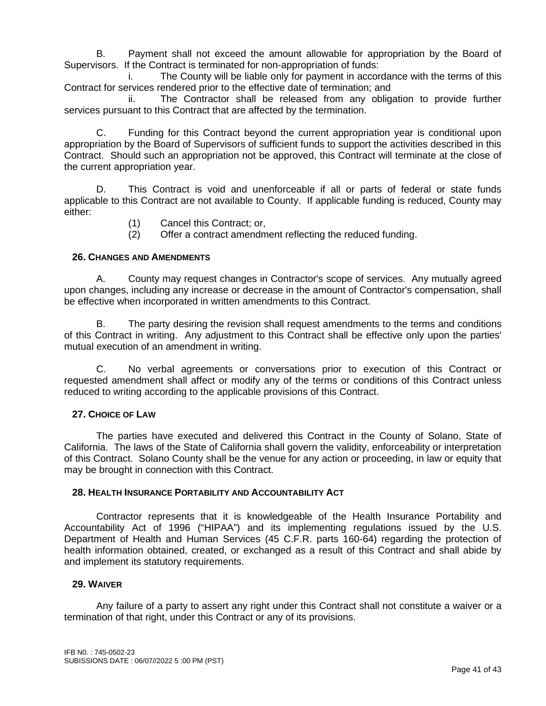B. Payment shall not exceed the amount allowable for appropriation by the Board of Supervisors. If the Contract is terminated for non-appropriation of funds:

i. The County will be liable only for payment in accordance with the terms of this Contract for services rendered prior to the effective date of termination; and

ii. The Contractor shall be released from any obligation to provide further services pursuant to this Contract that are affected by the termination.

C. Funding for this Contract beyond the current appropriation year is conditional upon appropriation by the Board of Supervisors of sufficient funds to support the activities described in this Contract. Should such an appropriation not be approved, this Contract will terminate at the close of the current appropriation year.

D. This Contract is void and unenforceable if all or parts of federal or state funds applicable to this Contract are not available to County. If applicable funding is reduced, County may either:

(1) Cancel this Contract; or,

(2) Offer a contract amendment reflecting the reduced funding.

## **26. CHANGES AND AMENDMENTS**

A. County may request changes in Contractor's scope of services. Any mutually agreed upon changes, including any increase or decrease in the amount of Contractor's compensation, shall be effective when incorporated in written amendments to this Contract.

B. The party desiring the revision shall request amendments to the terms and conditions of this Contract in writing. Any adjustment to this Contract shall be effective only upon the parties' mutual execution of an amendment in writing.

C. No verbal agreements or conversations prior to execution of this Contract or requested amendment shall affect or modify any of the terms or conditions of this Contract unless reduced to writing according to the applicable provisions of this Contract.

#### **27. CHOICE OF LAW**

The parties have executed and delivered this Contract in the County of Solano, State of California. The laws of the State of California shall govern the validity, enforceability or interpretation of this Contract. Solano County shall be the venue for any action or proceeding, in law or equity that may be brought in connection with this Contract.

#### **28. HEALTH INSURANCE PORTABILITY AND ACCOUNTABILITY ACT**

Contractor represents that it is knowledgeable of the Health Insurance Portability and Accountability Act of 1996 ("HIPAA") and its implementing regulations issued by the U.S. Department of Health and Human Services (45 C.F.R. parts 160-64) regarding the protection of health information obtained, created, or exchanged as a result of this Contract and shall abide by and implement its statutory requirements.

#### **29. WAIVER**

Any failure of a party to assert any right under this Contract shall not constitute a waiver or a termination of that right, under this Contract or any of its provisions.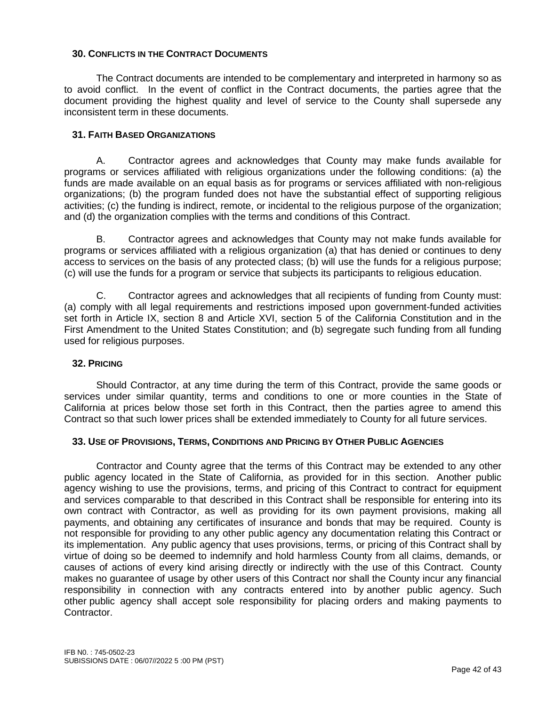## **30. CONFLICTS IN THE CONTRACT DOCUMENTS**

The Contract documents are intended to be complementary and interpreted in harmony so as to avoid conflict. In the event of conflict in the Contract documents, the parties agree that the document providing the highest quality and level of service to the County shall supersede any inconsistent term in these documents.

## **31. FAITH BASED ORGANIZATIONS**

A. Contractor agrees and acknowledges that County may make funds available for programs or services affiliated with religious organizations under the following conditions: (a) the funds are made available on an equal basis as for programs or services affiliated with non-religious organizations; (b) the program funded does not have the substantial effect of supporting religious activities; (c) the funding is indirect, remote, or incidental to the religious purpose of the organization; and (d) the organization complies with the terms and conditions of this Contract.

B. Contractor agrees and acknowledges that County may not make funds available for programs or services affiliated with a religious organization (a) that has denied or continues to deny access to services on the basis of any protected class; (b) will use the funds for a religious purpose; (c) will use the funds for a program or service that subjects its participants to religious education.

C. Contractor agrees and acknowledges that all recipients of funding from County must: (a) comply with all legal requirements and restrictions imposed upon government-funded activities set forth in Article IX, section 8 and Article XVI, section 5 of the California Constitution and in the First Amendment to the United States Constitution; and (b) segregate such funding from all funding used for religious purposes.

#### **32. PRICING**

Should Contractor, at any time during the term of this Contract, provide the same goods or services under similar quantity, terms and conditions to one or more counties in the State of California at prices below those set forth in this Contract, then the parties agree to amend this Contract so that such lower prices shall be extended immediately to County for all future services.

#### **33. USE OF PROVISIONS, TERMS, CONDITIONS AND PRICING BY OTHER PUBLIC AGENCIES**

Contractor and County agree that the terms of this Contract may be extended to any other public agency located in the State of California, as provided for in this section. Another public agency wishing to use the provisions, terms, and pricing of this Contract to contract for equipment and services comparable to that described in this Contract shall be responsible for entering into its own contract with Contractor, as well as providing for its own payment provisions, making all payments, and obtaining any certificates of insurance and bonds that may be required. County is not responsible for providing to any other public agency any documentation relating this Contract or its implementation. Any public agency that uses provisions, terms, or pricing of this Contract shall by virtue of doing so be deemed to indemnify and hold harmless County from all claims, demands, or causes of actions of every kind arising directly or indirectly with the use of this Contract. County makes no guarantee of usage by other users of this Contract nor shall the County incur any financial responsibility in connection with any contracts entered into by another public agency. Such other public agency shall accept sole responsibility for placing orders and making payments to Contractor.